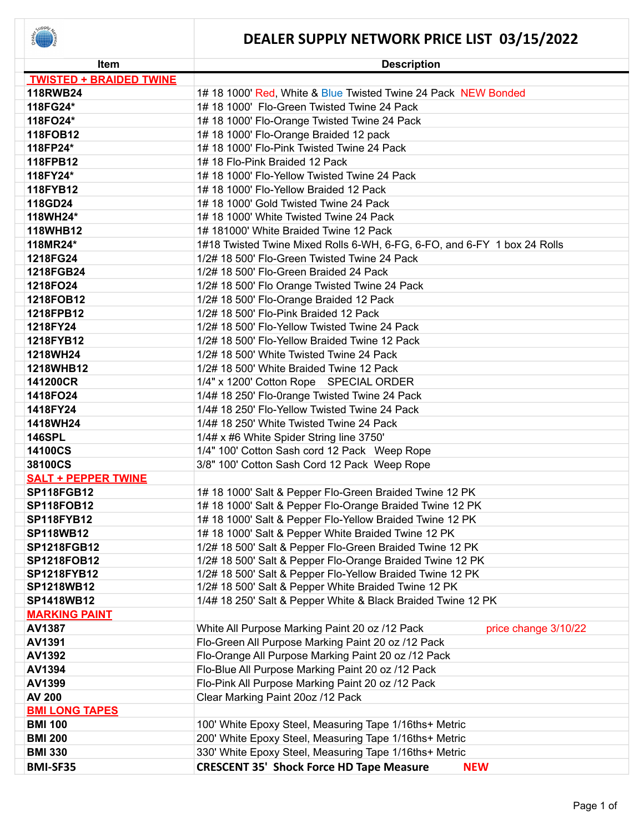

| <b>Item</b>                    | <b>Description</b>                                                       |
|--------------------------------|--------------------------------------------------------------------------|
| <b>TWISTED + BRAIDED TWINE</b> |                                                                          |
| 118RWB24                       | 1# 18 1000' Red, White & Blue Twisted Twine 24 Pack NEW Bonded           |
| 118FG24*                       | 1# 18 1000' Flo-Green Twisted Twine 24 Pack                              |
| 118FO24*                       | 1# 18 1000' Flo-Orange Twisted Twine 24 Pack                             |
| 118FOB12                       | 1# 18 1000' Flo-Orange Braided 12 pack                                   |
| 118FP24*                       | 1# 18 1000' Flo-Pink Twisted Twine 24 Pack                               |
| 118FPB12                       | 1# 18 Flo-Pink Braided 12 Pack                                           |
| 118FY24*                       | 1# 18 1000' Flo-Yellow Twisted Twine 24 Pack                             |
| 118FYB12                       | 1# 18 1000' Flo-Yellow Braided 12 Pack                                   |
| 118GD24                        | 1# 18 1000' Gold Twisted Twine 24 Pack                                   |
| 118WH24*                       | 1# 18 1000' White Twisted Twine 24 Pack                                  |
| <b>118WHB12</b>                | 1# 181000' White Braided Twine 12 Pack                                   |
| 118MR24*                       | 1#18 Twisted Twine Mixed Rolls 6-WH, 6-FG, 6-FO, and 6-FY 1 box 24 Rolls |
| 1218FG24                       | 1/2# 18 500' Flo-Green Twisted Twine 24 Pack                             |
| 1218FGB24                      | 1/2# 18 500' Flo-Green Braided 24 Pack                                   |
| 1218FO24                       | 1/2# 18 500' Flo Orange Twisted Twine 24 Pack                            |
| 1218FOB12                      | 1/2# 18 500' Flo-Orange Braided 12 Pack                                  |
| 1218FPB12                      | 1/2# 18 500' Flo-Pink Braided 12 Pack                                    |
| 1218FY24                       | 1/2# 18 500' Flo-Yellow Twisted Twine 24 Pack                            |
| 1218FYB12                      | 1/2# 18 500' Flo-Yellow Braided Twine 12 Pack                            |
| 1218WH24                       | 1/2# 18 500' White Twisted Twine 24 Pack                                 |
| 1218WHB12                      | 1/2# 18 500' White Braided Twine 12 Pack                                 |
| 141200CR                       | 1/4" x 1200' Cotton Rope SPECIAL ORDER                                   |
| 1418FO24                       | 1/4# 18 250' Flo-0range Twisted Twine 24 Pack                            |
| 1418FY24                       | 1/4# 18 250' Flo-Yellow Twisted Twine 24 Pack                            |
| 1418WH24                       | 1/4# 18 250' White Twisted Twine 24 Pack                                 |
| <b>146SPL</b>                  | 1/4# x #6 White Spider String line 3750'                                 |
| 14100CS                        | 1/4" 100' Cotton Sash cord 12 Pack Weep Rope                             |
| 38100CS                        | 3/8" 100' Cotton Sash Cord 12 Pack Weep Rope                             |
| <b>SALT + PEPPER TWINE</b>     |                                                                          |
| <b>SP118FGB12</b>              | 1# 18 1000' Salt & Pepper Flo-Green Braided Twine 12 PK                  |
| <b>SP118FOB12</b>              | 1# 18 1000' Salt & Pepper Flo-Orange Braided Twine 12 PK                 |
| <b>SP118FYB12</b>              | 1# 18 1000' Salt & Pepper Flo-Yellow Braided Twine 12 PK                 |
| <b>SP118WB12</b>               | 1# 18 1000' Salt & Pepper White Braided Twine 12 PK                      |
| <b>SP1218FGB12</b>             | 1/2# 18 500' Salt & Pepper Flo-Green Braided Twine 12 PK                 |
| <b>SP1218FOB12</b>             | 1/2# 18 500' Salt & Pepper Flo-Orange Braided Twine 12 PK                |
| <b>SP1218FYB12</b>             | 1/2# 18 500' Salt & Pepper Flo-Yellow Braided Twine 12 PK                |
| SP1218WB12                     | 1/2# 18 500' Salt & Pepper White Braided Twine 12 PK                     |
| SP1418WB12                     | 1/4# 18 250' Salt & Pepper White & Black Braided Twine 12 PK             |
| <b>MARKING PAINT</b>           |                                                                          |
| AV1387                         | White All Purpose Marking Paint 20 oz /12 Pack<br>price change 3/10/22   |
| AV1391                         | Flo-Green All Purpose Marking Paint 20 oz /12 Pack                       |
| AV1392                         | Flo-Orange All Purpose Marking Paint 20 oz /12 Pack                      |
| AV1394                         | Flo-Blue All Purpose Marking Paint 20 oz /12 Pack                        |
| AV1399                         | Flo-Pink All Purpose Marking Paint 20 oz /12 Pack                        |
| <b>AV 200</b>                  | Clear Marking Paint 20oz /12 Pack                                        |
| <b>BMI LONG TAPES</b>          |                                                                          |
| <b>BMI 100</b>                 | 100' White Epoxy Steel, Measuring Tape 1/16ths+ Metric                   |
| <b>BMI 200</b>                 | 200' White Epoxy Steel, Measuring Tape 1/16ths+ Metric                   |
| <b>BMI 330</b>                 | 330' White Epoxy Steel, Measuring Tape 1/16ths+ Metric                   |
| <b>BMI-SF35</b>                | <b>CRESCENT 35' Shock Force HD Tape Measure</b><br><b>NEW</b>            |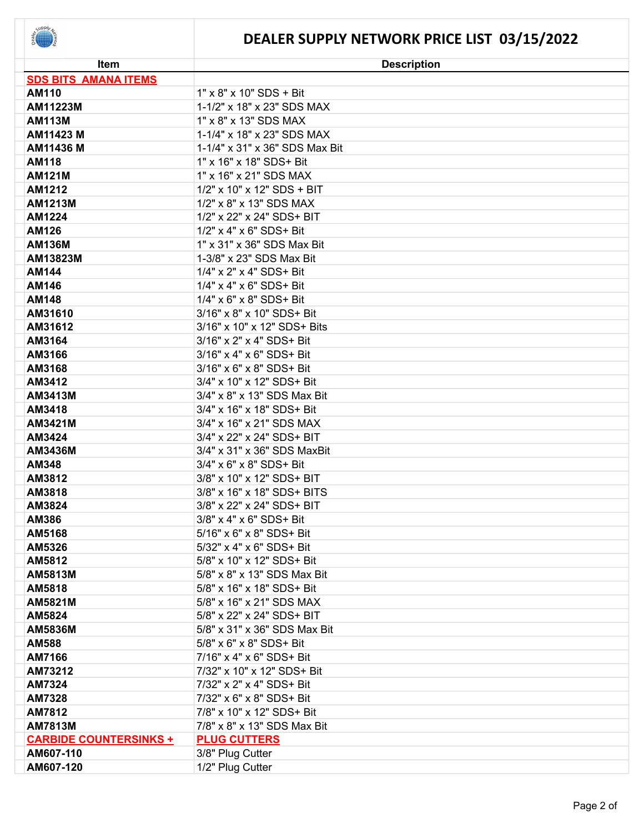

| Item                          | <b>Description</b>                   |
|-------------------------------|--------------------------------------|
| <b>SDS BITS AMANA ITEMS</b>   |                                      |
| <b>AM110</b>                  | $1" \times 8" \times 10"$ SDS + Bit  |
| AM11223M                      | 1-1/2" x 18" x 23" SDS MAX           |
| <b>AM113M</b>                 | 1" x 8" x 13" SDS MAX                |
| AM11423 M                     | 1-1/4" x 18" x 23" SDS MAX           |
| AM11436 M                     | 1-1/4" x 31" x 36" SDS Max Bit       |
| <b>AM118</b>                  | 1" x 16" x 18" SDS+ Bit              |
| <b>AM121M</b>                 | 1" x 16" x 21" SDS MAX               |
| AM1212                        | 1/2" x 10" x 12" SDS + BIT           |
| <b>AM1213M</b>                | 1/2" x 8" x 13" SDS MAX              |
| AM1224                        | 1/2" x 22" x 24" SDS+ BIT            |
| AM126                         | 1/2" x 4" x 6" SDS+ Bit              |
| <b>AM136M</b>                 | 1" x 31" x 36" SDS Max Bit           |
| AM13823M                      | 1-3/8" x 23" SDS Max Bit             |
| AM144                         | 1/4" x 2" x 4" SDS+ Bit              |
| AM146                         | 1/4" x 4" x 6" SDS+ Bit              |
| <b>AM148</b>                  | 1/4" x 6" x 8" SDS+ Bit              |
| AM31610                       | 3/16" x 8" x 10" SDS+ Bit            |
| AM31612                       | 3/16" x 10" x 12" SDS+ Bits          |
| AM3164                        | 3/16" x 2" x 4" SDS+ Bit             |
| AM3166                        | 3/16" x 4" x 6" SDS+ Bit             |
| AM3168                        | $3/16" \times 6" \times 8"$ SDS+ Bit |
| AM3412                        | 3/4" x 10" x 12" SDS+ Bit            |
| AM3413M                       | 3/4" x 8" x 13" SDS Max Bit          |
| AM3418                        | 3/4" x 16" x 18" SDS+ Bit            |
| AM3421M                       | 3/4" x 16" x 21" SDS MAX             |
| AM3424                        | 3/4" x 22" x 24" SDS+ BIT            |
| AM3436M                       | 3/4" x 31" x 36" SDS MaxBit          |
| <b>AM348</b>                  | 3/4" x 6" x 8" SDS+ Bit              |
| AM3812                        | 3/8" x 10" x 12" SDS+ BIT            |
| AM3818                        | 3/8" x 16" x 18" SDS+ BITS           |
| AM3824                        | 3/8" x 22" x 24" SDS+ BIT            |
| AM386                         | 3/8" x 4" x 6" SDS+ Bit              |
| AM5168                        | 5/16" x 6" x 8" SDS+ Bit             |
| AM5326                        | 5/32" x 4" x 6" SDS+ Bit             |
| AM5812                        | 5/8" x 10" x 12" SDS+ Bit            |
| <b>AM5813M</b>                | 5/8" x 8" x 13" SDS Max Bit          |
| AM5818                        | 5/8" x 16" x 18" SDS+ Bit            |
| <b>AM5821M</b>                | 5/8" x 16" x 21" SDS MAX             |
| AM5824                        | 5/8" x 22" x 24" SDS+ BIT            |
| <b>AM5836M</b>                | 5/8" x 31" x 36" SDS Max Bit         |
| <b>AM588</b>                  | 5/8" x 6" x 8" SDS+ Bit              |
| AM7166                        | 7/16" x 4" x 6" SDS+ Bit             |
| AM73212                       | 7/32" x 10" x 12" SDS+ Bit           |
| AM7324                        | 7/32" x 2" x 4" SDS+ Bit             |
| <b>AM7328</b>                 | 7/32" x 6" x 8" SDS+ Bit             |
| <b>AM7812</b>                 | 7/8" x 10" x 12" SDS+ Bit            |
| <b>AM7813M</b>                | 7/8" x 8" x 13" SDS Max Bit          |
| <b>CARBIDE COUNTERSINKS +</b> | <b>PLUG CUTTERS</b>                  |
| AM607-110                     | 3/8" Plug Cutter                     |
| AM607-120                     | 1/2" Plug Cutter                     |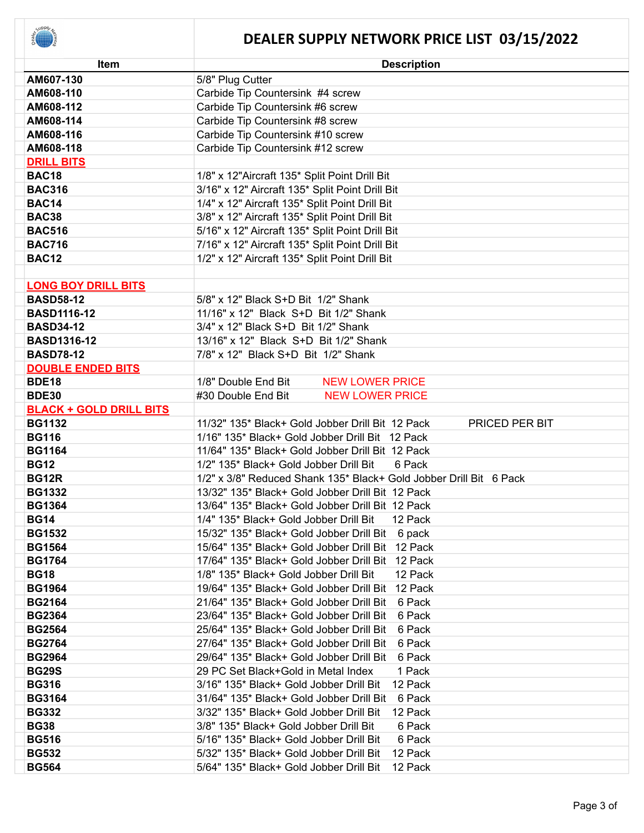| Item                           | <b>Description</b>                                                 |
|--------------------------------|--------------------------------------------------------------------|
| AM607-130                      | 5/8" Plug Cutter                                                   |
| AM608-110                      | Carbide Tip Countersink #4 screw                                   |
| AM608-112                      | Carbide Tip Countersink #6 screw                                   |
| AM608-114                      | Carbide Tip Countersink #8 screw                                   |
| AM608-116                      | Carbide Tip Countersink #10 screw                                  |
| AM608-118                      | Carbide Tip Countersink #12 screw                                  |
| <b>DRILL BITS</b>              |                                                                    |
| <b>BAC18</b>                   | 1/8" x 12"Aircraft 135* Split Point Drill Bit                      |
| <b>BAC316</b>                  | 3/16" x 12" Aircraft 135* Split Point Drill Bit                    |
| <b>BAC14</b>                   | 1/4" x 12" Aircraft 135* Split Point Drill Bit                     |
| <b>BAC38</b>                   | 3/8" x 12" Aircraft 135* Split Point Drill Bit                     |
| <b>BAC516</b>                  | 5/16" x 12" Aircraft 135* Split Point Drill Bit                    |
| <b>BAC716</b>                  | 7/16" x 12" Aircraft 135* Split Point Drill Bit                    |
| <b>BAC12</b>                   | 1/2" x 12" Aircraft 135* Split Point Drill Bit                     |
|                                |                                                                    |
| <b>LONG BOY DRILL BITS</b>     |                                                                    |
| <b>BASD58-12</b>               | 5/8" x 12" Black S+D Bit 1/2" Shank                                |
| <b>BASD1116-12</b>             | 11/16" x 12" Black S+D Bit 1/2" Shank                              |
| <b>BASD34-12</b>               | 3/4" x 12" Black S+D Bit 1/2" Shank                                |
| <b>BASD1316-12</b>             | 13/16" x 12" Black S+D Bit 1/2" Shank                              |
| <b>BASD78-12</b>               | 7/8" x 12" Black S+D Bit 1/2" Shank                                |
| <b>DOUBLE ENDED BITS</b>       |                                                                    |
| <b>BDE18</b>                   | 1/8" Double End Bit<br><b>NEW LOWER PRICE</b>                      |
| <b>BDE30</b>                   | #30 Double End Bit<br><b>NEW LOWER PRICE</b>                       |
| <b>BLACK + GOLD DRILL BITS</b> |                                                                    |
| <b>BG1132</b>                  | 11/32" 135* Black+ Gold Jobber Drill Bit 12 Pack<br>PRICED PER BIT |
| <b>BG116</b>                   | 1/16" 135* Black+ Gold Jobber Drill Bit 12 Pack                    |
| <b>BG1164</b>                  | 11/64" 135* Black+ Gold Jobber Drill Bit 12 Pack                   |
| <b>BG12</b>                    | 1/2" 135* Black+ Gold Jobber Drill Bit<br>6 Pack                   |
| <b>BG12R</b>                   | 1/2" x 3/8" Reduced Shank 135* Black+ Gold Jobber Drill Bit 6 Pack |
| <b>BG1332</b>                  | 13/32" 135* Black+ Gold Jobber Drill Bit 12 Pack                   |
| <b>BG1364</b>                  | 13/64" 135* Black+ Gold Jobber Drill Bit 12 Pack                   |
| <b>BG14</b>                    | 1/4" 135* Black+ Gold Jobber Drill Bit<br>12 Pack                  |
| <b>BG1532</b>                  | 15/32" 135* Black+ Gold Jobber Drill Bit<br>6 pack                 |
| <b>BG1564</b>                  | 15/64" 135* Black+ Gold Jobber Drill Bit<br>12 Pack                |
| <b>BG1764</b>                  | 17/64" 135* Black+ Gold Jobber Drill Bit<br>12 Pack                |
| <b>BG18</b>                    | 1/8" 135* Black+ Gold Jobber Drill Bit<br>12 Pack                  |
| <b>BG1964</b>                  | 19/64" 135* Black+ Gold Jobber Drill Bit<br>12 Pack                |
| <b>BG2164</b>                  | 21/64" 135* Black+ Gold Jobber Drill Bit<br>6 Pack                 |
| <b>BG2364</b>                  | 23/64" 135* Black+ Gold Jobber Drill Bit<br>6 Pack                 |
| <b>BG2564</b>                  | 25/64" 135* Black+ Gold Jobber Drill Bit<br>6 Pack                 |
| <b>BG2764</b>                  | 27/64" 135* Black+ Gold Jobber Drill Bit<br>6 Pack                 |
| <b>BG2964</b>                  | 29/64" 135* Black+ Gold Jobber Drill Bit<br>6 Pack                 |
| <b>BG29S</b>                   | 29 PC Set Black+Gold in Metal Index<br>1 Pack                      |
| <b>BG316</b>                   | 3/16" 135* Black+ Gold Jobber Drill Bit<br>12 Pack                 |
| <b>BG3164</b>                  | 31/64" 135* Black+ Gold Jobber Drill Bit<br>6 Pack                 |
| <b>BG332</b>                   | 3/32" 135* Black+ Gold Jobber Drill Bit<br>12 Pack                 |
| <b>BG38</b>                    | 3/8" 135* Black+ Gold Jobber Drill Bit<br>6 Pack                   |
| <b>BG516</b>                   | 5/16" 135* Black+ Gold Jobber Drill Bit<br>6 Pack                  |
| <b>BG532</b>                   | 5/32" 135* Black+ Gold Jobber Drill Bit<br>12 Pack                 |
| <b>BG564</b>                   | 5/64" 135* Black+ Gold Jobber Drill Bit<br>12 Pack                 |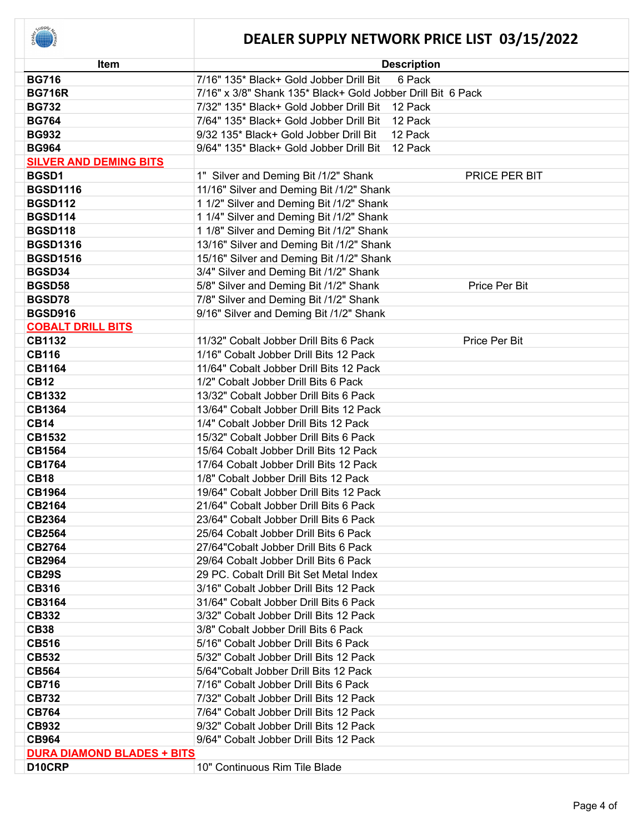

| <b>Item</b>                       | <b>Description</b>                                          |
|-----------------------------------|-------------------------------------------------------------|
| <b>BG716</b>                      | 7/16" 135* Black+ Gold Jobber Drill Bit<br>6 Pack           |
| <b>BG716R</b>                     | 7/16" x 3/8" Shank 135* Black+ Gold Jobber Drill Bit 6 Pack |
| <b>BG732</b>                      | 7/32" 135* Black+ Gold Jobber Drill Bit 12 Pack             |
| <b>BG764</b>                      | 7/64" 135* Black+ Gold Jobber Drill Bit<br>12 Pack          |
| <b>BG932</b>                      | 9/32 135* Black+ Gold Jobber Drill Bit<br>12 Pack           |
| <b>BG964</b>                      | 9/64" 135* Black+ Gold Jobber Drill Bit<br>12 Pack          |
| <b>SILVER AND DEMING BITS</b>     |                                                             |
| BGSD1                             | 1" Silver and Deming Bit /1/2" Shank<br>PRICE PER BIT       |
| <b>BGSD1116</b>                   | 11/16" Silver and Deming Bit /1/2" Shank                    |
| <b>BGSD112</b>                    | 1 1/2" Silver and Deming Bit /1/2" Shank                    |
| <b>BGSD114</b>                    | 1 1/4" Silver and Deming Bit /1/2" Shank                    |
| <b>BGSD118</b>                    | 1 1/8" Silver and Deming Bit /1/2" Shank                    |
| <b>BGSD1316</b>                   | 13/16" Silver and Deming Bit /1/2" Shank                    |
| <b>BGSD1516</b>                   | 15/16" Silver and Deming Bit /1/2" Shank                    |
| BGSD34                            | 3/4" Silver and Deming Bit /1/2" Shank                      |
| BGSD58                            | 5/8" Silver and Deming Bit /1/2" Shank<br>Price Per Bit     |
| BGSD78                            | 7/8" Silver and Deming Bit /1/2" Shank                      |
| <b>BGSD916</b>                    | 9/16" Silver and Deming Bit /1/2" Shank                     |
| <b>COBALT DRILL BITS</b>          |                                                             |
| <b>CB1132</b>                     | 11/32" Cobalt Jobber Drill Bits 6 Pack<br>Price Per Bit     |
| <b>CB116</b>                      | 1/16" Cobalt Jobber Drill Bits 12 Pack                      |
| <b>CB1164</b>                     | 11/64" Cobalt Jobber Drill Bits 12 Pack                     |
| <b>CB12</b>                       | 1/2" Cobalt Jobber Drill Bits 6 Pack                        |
| <b>CB1332</b>                     | 13/32" Cobalt Jobber Drill Bits 6 Pack                      |
| <b>CB1364</b>                     | 13/64" Cobalt Jobber Drill Bits 12 Pack                     |
| <b>CB14</b>                       | 1/4" Cobalt Jobber Drill Bits 12 Pack                       |
| <b>CB1532</b>                     | 15/32" Cobalt Jobber Drill Bits 6 Pack                      |
| <b>CB1564</b>                     | 15/64 Cobalt Jobber Drill Bits 12 Pack                      |
| <b>CB1764</b>                     | 17/64 Cobalt Jobber Drill Bits 12 Pack                      |
| <b>CB18</b>                       | 1/8" Cobalt Jobber Drill Bits 12 Pack                       |
| <b>CB1964</b>                     | 19/64" Cobalt Jobber Drill Bits 12 Pack                     |
| <b>CB2164</b>                     | 21/64" Cobalt Jobber Drill Bits 6 Pack                      |
| <b>CB2364</b>                     | 23/64" Cobalt Jobber Drill Bits 6 Pack                      |
| <b>CB2564</b>                     | 25/64 Cobalt Jobber Drill Bits 6 Pack                       |
| <b>CB2764</b>                     | 27/64" Cobalt Jobber Drill Bits 6 Pack                      |
| <b>CB2964</b>                     | 29/64 Cobalt Jobber Drill Bits 6 Pack                       |
| <b>CB29S</b>                      | 29 PC. Cobalt Drill Bit Set Metal Index                     |
| <b>CB316</b>                      | 3/16" Cobalt Jobber Drill Bits 12 Pack                      |
| <b>CB3164</b>                     | 31/64" Cobalt Jobber Drill Bits 6 Pack                      |
| CB332                             | 3/32" Cobalt Jobber Drill Bits 12 Pack                      |
| <b>CB38</b>                       | 3/8" Cobalt Jobber Drill Bits 6 Pack                        |
| <b>CB516</b>                      | 5/16" Cobalt Jobber Drill Bits 6 Pack                       |
| <b>CB532</b>                      | 5/32" Cobalt Jobber Drill Bits 12 Pack                      |
| <b>CB564</b>                      | 5/64" Cobalt Jobber Drill Bits 12 Pack                      |
| <b>CB716</b>                      | 7/16" Cobalt Jobber Drill Bits 6 Pack                       |
| <b>CB732</b>                      | 7/32" Cobalt Jobber Drill Bits 12 Pack                      |
| <b>CB764</b>                      | 7/64" Cobalt Jobber Drill Bits 12 Pack                      |
| CB932                             | 9/32" Cobalt Jobber Drill Bits 12 Pack                      |
| <b>CB964</b>                      | 9/64" Cobalt Jobber Drill Bits 12 Pack                      |
| <b>DURA DIAMOND BLADES + BITS</b> |                                                             |
| D10CRP                            | 10" Continuous Rim Tile Blade                               |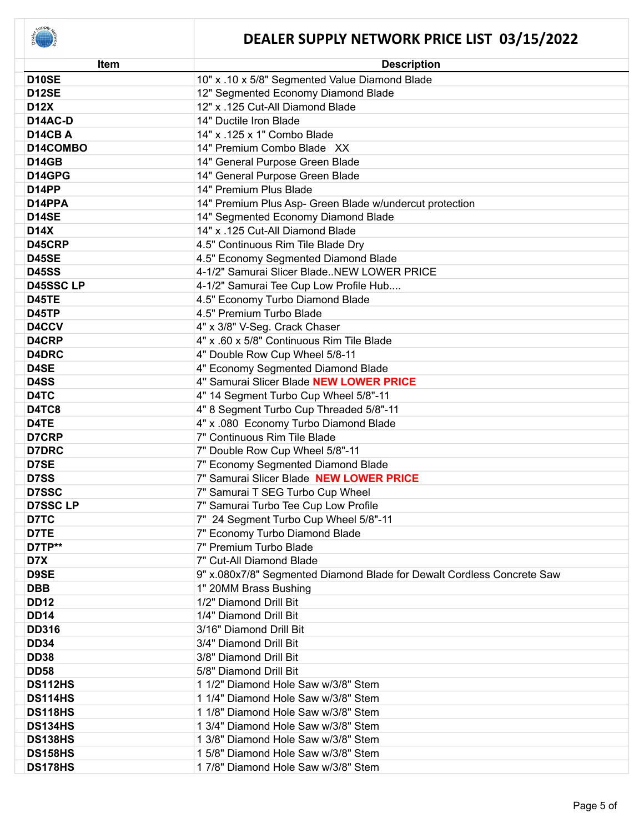

| Item             | <b>Description</b>                                                     |
|------------------|------------------------------------------------------------------------|
| D10SE            | 10" x .10 x 5/8" Segmented Value Diamond Blade                         |
| D12SE            | 12" Segmented Economy Diamond Blade                                    |
| <b>D12X</b>      | 12" x .125 Cut-All Diamond Blade                                       |
| D14AC-D          | 14" Ductile Iron Blade                                                 |
| D14CBA           | 14" x .125 x 1" Combo Blade                                            |
| D14COMBO         | 14" Premium Combo Blade XX                                             |
| <b>D14GB</b>     | 14" General Purpose Green Blade                                        |
| D14GPG           | 14" General Purpose Green Blade                                        |
| D14PP            | 14" Premium Plus Blade                                                 |
| D14PPA           | 14" Premium Plus Asp- Green Blade w/undercut protection                |
| <b>D14SE</b>     | 14" Segmented Economy Diamond Blade                                    |
| <b>D14X</b>      | 14" x .125 Cut-All Diamond Blade                                       |
| D45CRP           | 4.5" Continuous Rim Tile Blade Dry                                     |
| <b>D45SE</b>     | 4.5" Economy Segmented Diamond Blade                                   |
| <b>D45SS</b>     | 4-1/2" Samurai Slicer BladeNEW LOWER PRICE                             |
| <b>D45SSC LP</b> | 4-1/2" Samurai Tee Cup Low Profile Hub                                 |
| <b>D45TE</b>     | 4.5" Economy Turbo Diamond Blade                                       |
| <b>D45TP</b>     | 4.5" Premium Turbo Blade                                               |
| D4CCV            | 4" x 3/8" V-Seg. Crack Chaser                                          |
| D4CRP            | 4" x .60 x 5/8" Continuous Rim Tile Blade                              |
| D4DRC            | 4" Double Row Cup Wheel 5/8-11                                         |
| D4SE             | 4" Economy Segmented Diamond Blade                                     |
| D4SS             | 4" Samurai Slicer Blade NEW LOWER PRICE                                |
| D4TC             | 4" 14 Segment Turbo Cup Wheel 5/8"-11                                  |
| D4TC8            | 4" 8 Segment Turbo Cup Threaded 5/8"-11                                |
| D4TE             | 4" x .080 Economy Turbo Diamond Blade                                  |
| D7CRP            | 7" Continuous Rim Tile Blade                                           |
| <b>D7DRC</b>     | 7" Double Row Cup Wheel 5/8"-11                                        |
| D7SE             | 7" Economy Segmented Diamond Blade                                     |
| D7SS             | 7" Samurai Slicer Blade NEW LOWER PRICE                                |
| <b>D7SSC</b>     | 7" Samurai T SEG Turbo Cup Wheel                                       |
| <b>D7SSC LP</b>  | 7" Samurai Turbo Tee Cup Low Profile                                   |
| D7TC             | 7" 24 Segment Turbo Cup Wheel 5/8"-11                                  |
| D7TE             | 7" Economy Turbo Diamond Blade                                         |
| D7TP**           | 7" Premium Turbo Blade                                                 |
| D7X              | 7" Cut-All Diamond Blade                                               |
| D9SE             | 9" x.080x7/8" Segmented Diamond Blade for Dewalt Cordless Concrete Saw |
| <b>DBB</b>       | 1" 20MM Brass Bushing                                                  |
| <b>DD12</b>      | 1/2" Diamond Drill Bit                                                 |
| <b>DD14</b>      | 1/4" Diamond Drill Bit                                                 |
| <b>DD316</b>     | 3/16" Diamond Drill Bit                                                |
| <b>DD34</b>      | 3/4" Diamond Drill Bit                                                 |
| <b>DD38</b>      | 3/8" Diamond Drill Bit                                                 |
| <b>DD58</b>      | 5/8" Diamond Drill Bit                                                 |
| <b>DS112HS</b>   | 1 1/2" Diamond Hole Saw w/3/8" Stem                                    |
| <b>DS114HS</b>   | 1 1/4" Diamond Hole Saw w/3/8" Stem                                    |
| <b>DS118HS</b>   | 1 1/8" Diamond Hole Saw w/3/8" Stem                                    |
| <b>DS134HS</b>   | 1 3/4" Diamond Hole Saw w/3/8" Stem                                    |
| <b>DS138HS</b>   | 1 3/8" Diamond Hole Saw w/3/8" Stem                                    |
| <b>DS158HS</b>   | 1 5/8" Diamond Hole Saw w/3/8" Stem                                    |
| <b>DS178HS</b>   | 17/8" Diamond Hole Saw w/3/8" Stem                                     |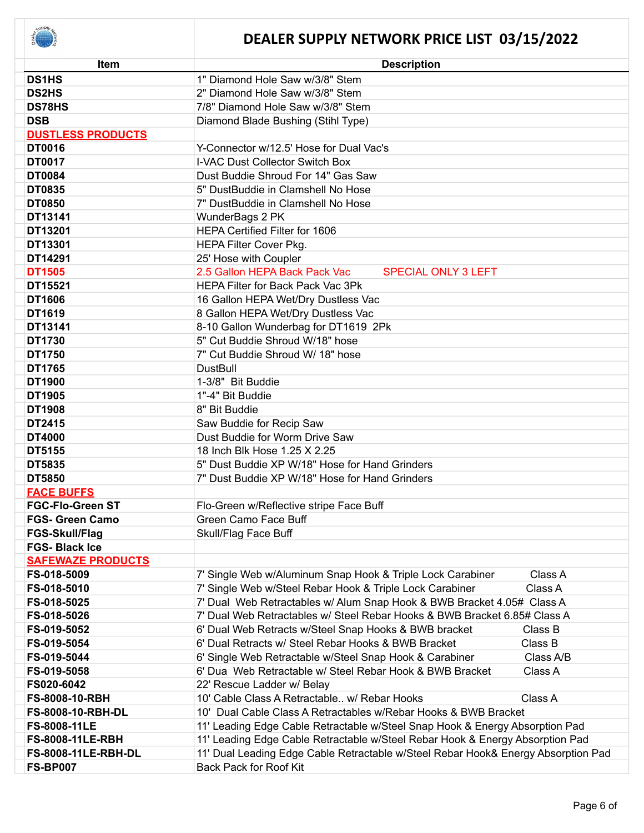

| Item                       | <b>Description</b>                                                                |
|----------------------------|-----------------------------------------------------------------------------------|
| <b>DS1HS</b>               | 1" Diamond Hole Saw w/3/8" Stem                                                   |
| <b>DS2HS</b>               | 2" Diamond Hole Saw w/3/8" Stem                                                   |
| <b>DS78HS</b>              | 7/8" Diamond Hole Saw w/3/8" Stem                                                 |
| <b>DSB</b>                 | Diamond Blade Bushing (Stihl Type)                                                |
| <b>DUSTLESS PRODUCTS</b>   |                                                                                   |
| <b>DT0016</b>              | Y-Connector w/12.5' Hose for Dual Vac's                                           |
| <b>DT0017</b>              | I-VAC Dust Collector Switch Box                                                   |
| <b>DT0084</b>              | Dust Buddie Shroud For 14" Gas Saw                                                |
| <b>DT0835</b>              | 5" DustBuddie in Clamshell No Hose                                                |
| <b>DT0850</b>              | 7" DustBuddie in Clamshell No Hose                                                |
| DT13141                    | WunderBags 2 PK                                                                   |
| DT13201                    | <b>HEPA Certified Filter for 1606</b>                                             |
| DT13301                    | HEPA Filter Cover Pkg.                                                            |
| DT14291                    | 25' Hose with Coupler                                                             |
| <b>DT1505</b>              | 2.5 Gallon HEPA Back Pack Vac<br><b>SPECIAL ONLY 3 LEFT</b>                       |
| DT15521                    | HEPA Filter for Back Pack Vac 3Pk                                                 |
| DT1606                     | 16 Gallon HEPA Wet/Dry Dustless Vac                                               |
| DT1619                     | 8 Gallon HEPA Wet/Dry Dustless Vac                                                |
| DT13141                    | 8-10 Gallon Wunderbag for DT1619 2Pk                                              |
| DT1730                     | 5" Cut Buddie Shroud W/18" hose                                                   |
| DT1750                     | 7" Cut Buddie Shroud W/ 18" hose                                                  |
| DT1765                     | <b>DustBull</b>                                                                   |
| DT1900                     | 1-3/8" Bit Buddie                                                                 |
| DT1905                     | 1"-4" Bit Buddie                                                                  |
| <b>DT1908</b>              | 8" Bit Buddie                                                                     |
| DT2415                     | Saw Buddie for Recip Saw                                                          |
| <b>DT4000</b>              | Dust Buddie for Worm Drive Saw                                                    |
| DT5155                     | 18 Inch Blk Hose 1.25 X 2.25                                                      |
| DT5835                     | 5" Dust Buddie XP W/18" Hose for Hand Grinders                                    |
| <b>DT5850</b>              | 7" Dust Buddie XP W/18" Hose for Hand Grinders                                    |
| <b>FACE BUFFS</b>          |                                                                                   |
| <b>FGC-Flo-Green ST</b>    | Flo-Green w/Reflective stripe Face Buff                                           |
| <b>FGS- Green Camo</b>     | Green Camo Face Buff                                                              |
| FGS-Skull/Flag             | Skull/Flag Face Buff                                                              |
| <b>FGS-Black Ice</b>       |                                                                                   |
| <b>SAFEWAZE PRODUCTS</b>   |                                                                                   |
| FS-018-5009                | 7' Single Web w/Aluminum Snap Hook & Triple Lock Carabiner<br>Class A             |
| FS-018-5010                | 7' Single Web w/Steel Rebar Hook & Triple Lock Carabiner<br>Class A               |
| FS-018-5025                | 7' Dual Web Retractables w/ Alum Snap Hook & BWB Bracket 4.05# Class A            |
| FS-018-5026                | 7' Dual Web Retractables w/ Steel Rebar Hooks & BWB Bracket 6.85# Class A         |
| FS-019-5052                | 6' Dual Web Retracts w/Steel Snap Hooks & BWB bracket<br>Class B                  |
| FS-019-5054                | Class B<br>6' Dual Retracts w/ Steel Rebar Hooks & BWB Bracket                    |
| FS-019-5044                | 6' Single Web Retractable w/Steel Snap Hook & Carabiner<br>Class A/B              |
| FS-019-5058                | 6' Dua Web Retractable w/ Steel Rebar Hook & BWB Bracket<br>Class A               |
| FS020-6042                 | 22' Rescue Ladder w/ Belay                                                        |
| FS-8008-10-RBH             | 10' Cable Class A Retractable w/ Rebar Hooks<br>Class A                           |
| <b>FS-8008-10-RBH-DL</b>   | 10' Dual Cable Class A Retractables w/Rebar Hooks & BWB Bracket                   |
| FS-8008-11LE               | 11' Leading Edge Cable Retractable w/Steel Snap Hook & Energy Absorption Pad      |
| <b>FS-8008-11LE-RBH</b>    | 11' Leading Edge Cable Retractable w/Steel Rebar Hook & Energy Absorption Pad     |
| <b>FS-8008-11LE-RBH-DL</b> | 11' Dual Leading Edge Cable Retractable w/Steel Rebar Hook& Energy Absorption Pad |
| <b>FS-BP007</b>            | <b>Back Pack for Roof Kit</b>                                                     |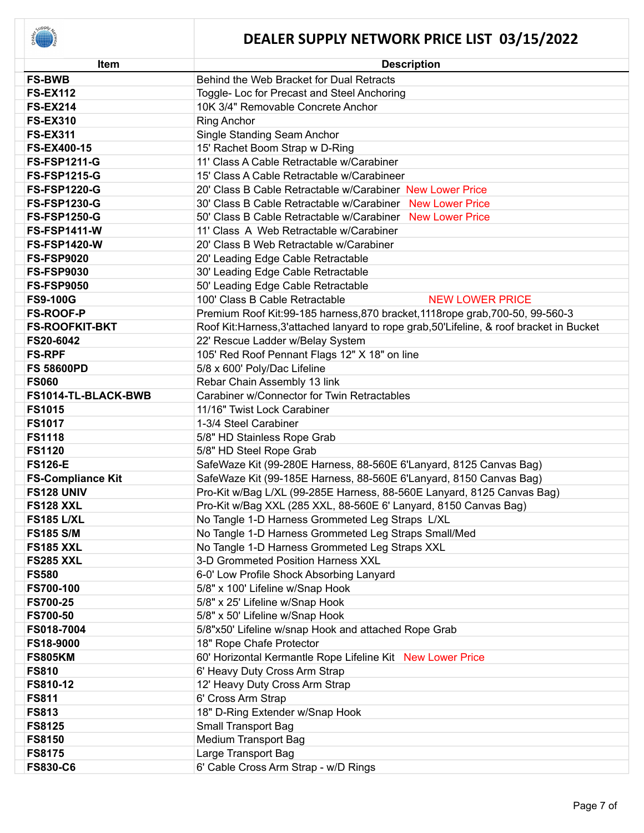

| <b>Item</b>                 | <b>Description</b>                                                                        |  |
|-----------------------------|-------------------------------------------------------------------------------------------|--|
| <b>FS-BWB</b>               | Behind the Web Bracket for Dual Retracts                                                  |  |
| <b>FS-EX112</b>             | Toggle- Loc for Precast and Steel Anchoring                                               |  |
| <b>FS-EX214</b>             | 10K 3/4" Removable Concrete Anchor                                                        |  |
| <b>FS-EX310</b>             | <b>Ring Anchor</b>                                                                        |  |
| <b>FS-EX311</b>             | Single Standing Seam Anchor                                                               |  |
| <b>FS-EX400-15</b>          | 15' Rachet Boom Strap w D-Ring                                                            |  |
| <b>FS-FSP1211-G</b>         | 11' Class A Cable Retractable w/Carabiner                                                 |  |
| <b>FS-FSP1215-G</b>         | 15' Class A Cable Retractable w/Carabineer                                                |  |
| <b>FS-FSP1220-G</b>         | 20' Class B Cable Retractable w/Carabiner New Lower Price                                 |  |
| <b>FS-FSP1230-G</b>         | 30' Class B Cable Retractable w/Carabiner New Lower Price                                 |  |
| <b>FS-FSP1250-G</b>         | 50' Class B Cable Retractable w/Carabiner New Lower Price                                 |  |
| <b>FS-FSP1411-W</b>         | 11' Class A Web Retractable w/Carabiner                                                   |  |
| <b>FS-FSP1420-W</b>         | 20' Class B Web Retractable w/Carabiner                                                   |  |
| <b>FS-FSP9020</b>           | 20' Leading Edge Cable Retractable                                                        |  |
| <b>FS-FSP9030</b>           | 30' Leading Edge Cable Retractable                                                        |  |
| <b>FS-FSP9050</b>           | 50' Leading Edge Cable Retractable                                                        |  |
| <b>FS9-100G</b>             | 100' Class B Cable Retractable<br><b>NEW LOWER PRICE</b>                                  |  |
| <b>FS-ROOF-P</b>            | Premium Roof Kit:99-185 harness, 870 bracket, 1118rope grab, 700-50, 99-560-3             |  |
| <b>FS-ROOFKIT-BKT</b>       | Roof Kit: Harness, 3'attached lanyard to rope grab, 50'Lifeline, & roof bracket in Bucket |  |
| FS20-6042                   | 22' Rescue Ladder w/Belay System                                                          |  |
| <b>FS-RPF</b>               | 105' Red Roof Pennant Flags 12" X 18" on line                                             |  |
| <b>FS 58600PD</b>           | 5/8 x 600' Poly/Dac Lifeline                                                              |  |
| <b>FS060</b>                | Rebar Chain Assembly 13 link                                                              |  |
| FS1014-TL-BLACK-BWB         | Carabiner w/Connector for Twin Retractables                                               |  |
| <b>FS1015</b>               | 11/16" Twist Lock Carabiner                                                               |  |
| <b>FS1017</b>               | 1-3/4 Steel Carabiner                                                                     |  |
| <b>FS1118</b>               | 5/8" HD Stainless Rope Grab                                                               |  |
| <b>FS1120</b>               | 5/8" HD Steel Rope Grab                                                                   |  |
| <b>FS126-E</b>              | SafeWaze Kit (99-280E Harness, 88-560E 6'Lanyard, 8125 Canvas Bag)                        |  |
| <b>FS-Compliance Kit</b>    | SafeWaze Kit (99-185E Harness, 88-560E 6'Lanyard, 8150 Canvas Bag)                        |  |
| <b>FS128 UNIV</b>           | Pro-Kit w/Bag L/XL (99-285E Harness, 88-560E Lanyard, 8125 Canvas Bag)                    |  |
| <b>FS128 XXL</b>            | Pro-Kit w/Bag XXL (285 XXL, 88-560E 6' Lanyard, 8150 Canvas Bag)                          |  |
| <b>FS185 L/XL</b>           | No Tangle 1-D Harness Grommeted Leg Straps L/XL                                           |  |
| <b>FS185 S/M</b>            | No Tangle 1-D Harness Grommeted Leg Straps Small/Med                                      |  |
| <b>FS185 XXL</b>            | No Tangle 1-D Harness Grommeted Leg Straps XXL                                            |  |
| <b>FS285 XXL</b>            | 3-D Grommeted Position Harness XXL                                                        |  |
| <b>FS580</b>                | 6-0' Low Profile Shock Absorbing Lanyard                                                  |  |
| <b>FS700-100</b>            | 5/8" x 100' Lifeline w/Snap Hook                                                          |  |
| <b>FS700-25</b>             | 5/8" x 25' Lifeline w/Snap Hook                                                           |  |
| <b>FS700-50</b>             | 5/8" x 50' Lifeline w/Snap Hook                                                           |  |
| FS018-7004                  | 5/8"x50' Lifeline w/snap Hook and attached Rope Grab                                      |  |
| FS18-9000<br><b>FS805KM</b> | 18" Rope Chafe Protector<br>60' Horizontal Kermantle Rope Lifeline Kit New Lower Price    |  |
| <b>FS810</b>                |                                                                                           |  |
| FS810-12                    | 6' Heavy Duty Cross Arm Strap                                                             |  |
| <b>FS811</b>                | 12' Heavy Duty Cross Arm Strap                                                            |  |
| <b>FS813</b>                | 6' Cross Arm Strap<br>18" D-Ring Extender w/Snap Hook                                     |  |
| <b>FS8125</b>               | Small Transport Bag                                                                       |  |
| <b>FS8150</b>               | <b>Medium Transport Bag</b>                                                               |  |
| <b>FS8175</b>               | Large Transport Bag                                                                       |  |
| <b>FS830-C6</b>             | 6' Cable Cross Arm Strap - w/D Rings                                                      |  |
|                             |                                                                                           |  |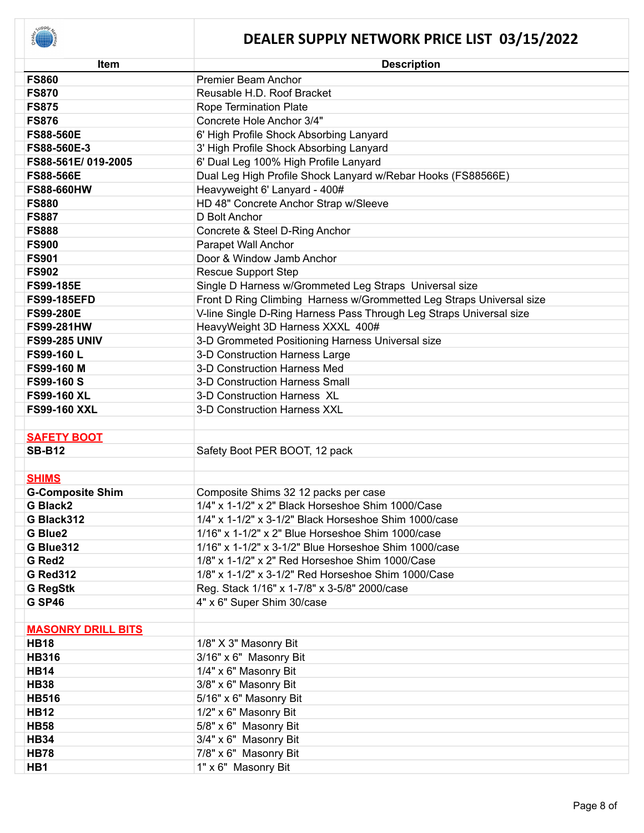

| <b>Item</b>               | <b>Description</b>                                                   |
|---------------------------|----------------------------------------------------------------------|
| <b>FS860</b>              | <b>Premier Beam Anchor</b>                                           |
| <b>FS870</b>              | Reusable H.D. Roof Bracket                                           |
| <b>FS875</b>              | Rope Termination Plate                                               |
| <b>FS876</b>              | Concrete Hole Anchor 3/4"                                            |
| <b>FS88-560E</b>          | 6' High Profile Shock Absorbing Lanyard                              |
| FS88-560E-3               | 3' High Profile Shock Absorbing Lanyard                              |
| FS88-561E/019-2005        | 6' Dual Leg 100% High Profile Lanyard                                |
| <b>FS88-566E</b>          | Dual Leg High Profile Shock Lanyard w/Rebar Hooks (FS88566E)         |
| <b>FS88-660HW</b>         | Heavyweight 6' Lanyard - 400#                                        |
| <b>FS880</b>              | HD 48" Concrete Anchor Strap w/Sleeve                                |
| <b>FS887</b>              | D Bolt Anchor                                                        |
| <b>FS888</b>              | Concrete & Steel D-Ring Anchor                                       |
| <b>FS900</b>              | Parapet Wall Anchor                                                  |
| <b>FS901</b>              | Door & Window Jamb Anchor                                            |
| <b>FS902</b>              | <b>Rescue Support Step</b>                                           |
| <b>FS99-185E</b>          | Single D Harness w/Grommeted Leg Straps Universal size               |
| <b>FS99-185EFD</b>        | Front D Ring Climbing Harness w/Grommetted Leg Straps Universal size |
| <b>FS99-280E</b>          | V-line Single D-Ring Harness Pass Through Leg Straps Universal size  |
| <b>FS99-281HW</b>         | HeavyWeight 3D Harness XXXL 400#                                     |
| <b>FS99-285 UNIV</b>      | 3-D Grommeted Positioning Harness Universal size                     |
| FS99-160L                 | 3-D Construction Harness Large                                       |
| FS99-160 M                | 3-D Construction Harness Med                                         |
| <b>FS99-160 S</b>         | 3-D Construction Harness Small                                       |
| <b>FS99-160 XL</b>        | 3-D Construction Harness XL                                          |
| <b>FS99-160 XXL</b>       | 3-D Construction Harness XXL                                         |
|                           |                                                                      |
| <b>SAFETY BOOT</b>        |                                                                      |
| <b>SB-B12</b>             | Safety Boot PER BOOT, 12 pack                                        |
|                           |                                                                      |
| <b>SHIMS</b>              |                                                                      |
| <b>G-Composite Shim</b>   | Composite Shims 32 12 packs per case                                 |
| <b>G Black2</b>           | 1/4" x 1-1/2" x 2" Black Horseshoe Shim 1000/Case                    |
| G Black312                | 1/4" x 1-1/2" x 3-1/2" Black Horseshoe Shim 1000/case                |
| <b>G Blue2</b>            | 1/16" x 1-1/2" x 2" Blue Horseshoe Shim 1000/case                    |
| G Blue312                 | 1/16" x 1-1/2" x 3-1/2" Blue Horseshoe Shim 1000/case                |
| G Red2                    | 1/8" x 1-1/2" x 2" Red Horseshoe Shim 1000/Case                      |
| <b>G Red312</b>           | 1/8" x 1-1/2" x 3-1/2" Red Horseshoe Shim 1000/Case                  |
| <b>G RegStk</b>           | Reg. Stack 1/16" x 1-7/8" x 3-5/8" 2000/case                         |
| <b>G SP46</b>             | 4" x 6" Super Shim 30/case                                           |
|                           |                                                                      |
| <b>MASONRY DRILL BITS</b> |                                                                      |
| <b>HB18</b>               | 1/8" X 3" Masonry Bit                                                |
| <b>HB316</b>              | 3/16" x 6" Masonry Bit                                               |
| <b>HB14</b>               | 1/4" x 6" Masonry Bit                                                |
| <b>HB38</b>               | 3/8" x 6" Masonry Bit                                                |
| <b>HB516</b>              | 5/16" x 6" Masonry Bit                                               |
| <b>HB12</b>               | 1/2" x 6" Masonry Bit                                                |
| <b>HB58</b>               | 5/8" x 6" Masonry Bit                                                |
| <b>HB34</b>               | 3/4" x 6" Masonry Bit                                                |
| <b>HB78</b>               | 7/8" x 6" Masonry Bit                                                |
| HB1                       | 1" x 6" Masonry Bit                                                  |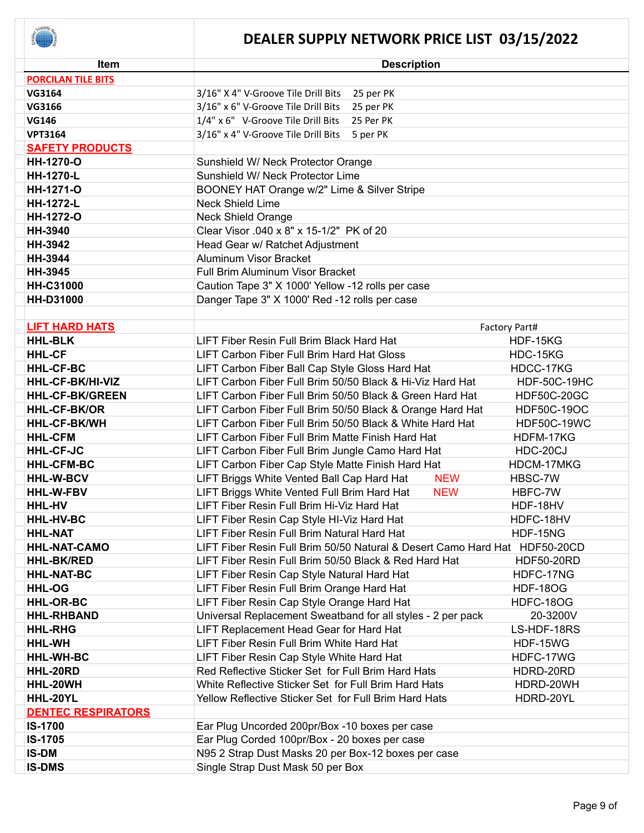

| Item                      | <b>Description</b>                                                         |                     |
|---------------------------|----------------------------------------------------------------------------|---------------------|
| <b>PORCILAN TILE BITS</b> |                                                                            |                     |
| <b>VG3164</b>             | 25 per PK<br>3/16" X 4" V-Groove Tile Drill Bits                           |                     |
| VG3166                    | 3/16" x 6" V-Groove Tile Drill Bits<br>25 per PK                           |                     |
| <b>VG146</b>              | 1/4" x 6" V-Groove Tile Drill Bits<br>25 Per PK                            |                     |
| <b>VPT3164</b>            | 3/16" x 4" V-Groove Tile Drill Bits<br>5 per PK                            |                     |
| <b>SAFETY PRODUCTS</b>    |                                                                            |                     |
| HH-1270-O                 | Sunshield W/ Neck Protector Orange                                         |                     |
| HH-1270-L                 | Sunshield W/ Neck Protector Lime                                           |                     |
| <b>HH-1271-O</b>          | BOONEY HAT Orange w/2" Lime & Silver Stripe                                |                     |
| <b>HH-1272-L</b>          | <b>Neck Shield Lime</b>                                                    |                     |
| HH-1272-O                 | <b>Neck Shield Orange</b>                                                  |                     |
| HH-3940                   | Clear Visor .040 x 8" x 15-1/2" PK of 20                                   |                     |
| <b>HH-3942</b>            | Head Gear w/ Ratchet Adjustment                                            |                     |
| HH-3944                   | Aluminum Visor Bracket                                                     |                     |
| <b>HH-3945</b>            | Full Brim Aluminum Visor Bracket                                           |                     |
| <b>HH-C31000</b>          | Caution Tape 3" X 1000' Yellow -12 rolls per case                          |                     |
| <b>HH-D31000</b>          | Danger Tape 3" X 1000' Red -12 rolls per case                              |                     |
|                           |                                                                            |                     |
| <b>LIFT HARD HATS</b>     |                                                                            | Factory Part#       |
| <b>HHL-BLK</b>            | LIFT Fiber Resin Full Brim Black Hard Hat                                  | HDF-15KG            |
| <b>HHL-CF</b>             | LIFT Carbon Fiber Full Brim Hard Hat Gloss                                 | HDC-15KG            |
| <b>HHL-CF-BC</b>          | LIFT Carbon Fiber Ball Cap Style Gloss Hard Hat                            | HDCC-17KG           |
| HHL-CF-BK/HI-VIZ          | LIFT Carbon Fiber Full Brim 50/50 Black & Hi-Viz Hard Hat                  | <b>HDF-50C-19HC</b> |
| <b>HHL-CF-BK/GREEN</b>    | LIFT Carbon Fiber Full Brim 50/50 Black & Green Hard Hat                   | <b>HDF50C-20GC</b>  |
| <b>HHL-CF-BK/OR</b>       | LIFT Carbon Fiber Full Brim 50/50 Black & Orange Hard Hat                  | <b>HDF50C-19OC</b>  |
| <b>HHL-CF-BK/WH</b>       | LIFT Carbon Fiber Full Brim 50/50 Black & White Hard Hat                   | <b>HDF50C-19WC</b>  |
| <b>HHL-CFM</b>            | LIFT Carbon Fiber Full Brim Matte Finish Hard Hat                          | HDFM-17KG           |
| <b>HHL-CF-JC</b>          | LIFT Carbon Fiber Full Brim Jungle Camo Hard Hat                           | HDC-20CJ            |
| <b>HHL-CFM-BC</b>         | LIFT Carbon Fiber Cap Style Matte Finish Hard Hat                          | HDCM-17MKG          |
| <b>HHL-W-BCV</b>          | LIFT Briggs White Vented Ball Cap Hard Hat<br><b>NEW</b>                   | HBSC-7W             |
| <b>HHL-W-FBV</b>          | LIFT Briggs White Vented Full Brim Hard Hat<br><b>NEW</b>                  | HBFC-7W             |
| <b>HHL-HV</b>             | LIFT Fiber Resin Full Brim Hi-Viz Hard Hat                                 | HDF-18HV            |
| <b>HHL-HV-BC</b>          | LIFT Fiber Resin Cap Style HI-Viz Hard Hat                                 | HDFC-18HV           |
| <b>HHL-NAT</b>            | LIFT Fiber Resin Full Brim Natural Hard Hat                                | HDF-15NG            |
| <b>HHL-NAT-CAMO</b>       | LIFT Fiber Resin Full Brim 50/50 Natural & Desert Camo Hard Hat HDF50-20CD |                     |
| <b>HHL-BK/RED</b>         | LIFT Fiber Resin Full Brim 50/50 Black & Red Hard Hat                      | <b>HDF50-20RD</b>   |
| <b>HHL-NAT-BC</b>         | LIFT Fiber Resin Cap Style Natural Hard Hat                                | HDFC-17NG           |
| <b>HHL-OG</b>             | LIFT Fiber Resin Full Brim Orange Hard Hat                                 | <b>HDF-18OG</b>     |
| <b>HHL-OR-BC</b>          | LIFT Fiber Resin Cap Style Orange Hard Hat                                 | HDFC-18OG           |
| <b>HHL-RHBAND</b>         | Universal Replacement Sweatband for all styles - 2 per pack                | 20-3200V            |
| <b>HHL-RHG</b>            | LIFT Replacement Head Gear for Hard Hat                                    | LS-HDF-18RS         |
| HHL-WH                    | LIFT Fiber Resin Full Brim White Hard Hat                                  | HDF-15WG            |
| <b>HHL-WH-BC</b>          | LIFT Fiber Resin Cap Style White Hard Hat                                  | HDFC-17WG           |
| HHL-20RD                  | Red Reflective Sticker Set for Full Brim Hard Hats                         | HDRD-20RD           |
| HHL-20WH                  | White Reflective Sticker Set for Full Brim Hard Hats                       | HDRD-20WH           |
| HHL-20YL                  | Yellow Reflective Sticker Set for Full Brim Hard Hats                      | HDRD-20YL           |
| <b>DENTEC RESPIRATORS</b> |                                                                            |                     |
| <b>IS-1700</b>            | Ear Plug Uncorded 200pr/Box -10 boxes per case                             |                     |
| IS-1705                   | Ear Plug Corded 100pr/Box - 20 boxes per case                              |                     |
| <b>IS-DM</b>              | N95 2 Strap Dust Masks 20 per Box-12 boxes per case                        |                     |
| <b>IS-DMS</b>             | Single Strap Dust Mask 50 per Box                                          |                     |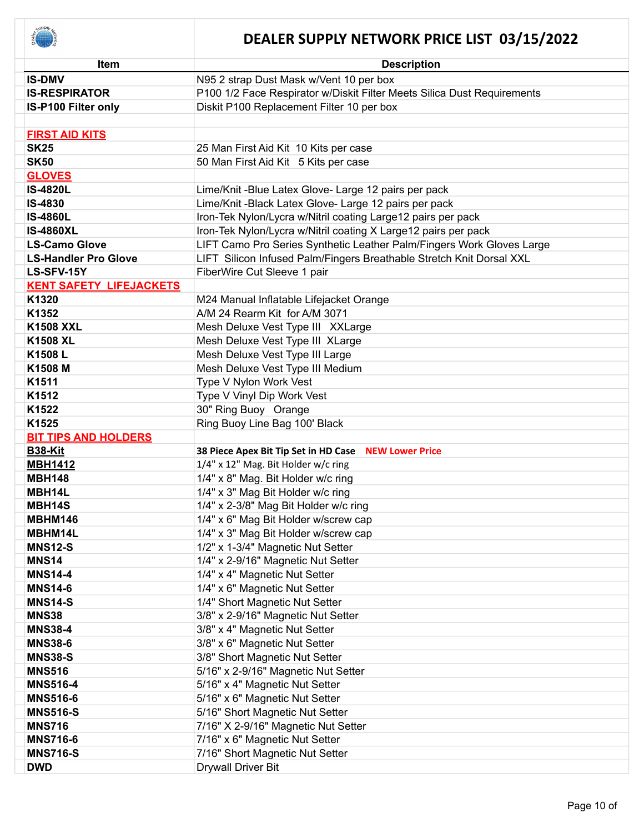

| <b>Item</b>                    | <b>Description</b>                                                      |
|--------------------------------|-------------------------------------------------------------------------|
| <b>IS-DMV</b>                  | N95 2 strap Dust Mask w/Vent 10 per box                                 |
| <b>IS-RESPIRATOR</b>           | P100 1/2 Face Respirator w/Diskit Filter Meets Silica Dust Requirements |
| IS-P100 Filter only            | Diskit P100 Replacement Filter 10 per box                               |
|                                |                                                                         |
| <b>FIRST AID KITS</b>          |                                                                         |
| <b>SK25</b>                    | 25 Man First Aid Kit 10 Kits per case                                   |
| <b>SK50</b>                    | 50 Man First Aid Kit 5 Kits per case                                    |
| <b>GLOVES</b>                  |                                                                         |
| <b>IS-4820L</b>                | Lime/Knit-Blue Latex Glove- Large 12 pairs per pack                     |
| <b>IS-4830</b>                 | Lime/Knit-Black Latex Glove- Large 12 pairs per pack                    |
| <b>IS-4860L</b>                | Iron-Tek Nylon/Lycra w/Nitril coating Large12 pairs per pack            |
| <b>IS-4860XL</b>               | Iron-Tek Nylon/Lycra w/Nitril coating X Large12 pairs per pack          |
| <b>LS-Camo Glove</b>           | LIFT Camo Pro Series Synthetic Leather Palm/Fingers Work Gloves Large   |
| <b>LS-Handler Pro Glove</b>    | LIFT Silicon Infused Palm/Fingers Breathable Stretch Knit Dorsal XXL    |
| LS-SFV-15Y                     | FiberWire Cut Sleeve 1 pair                                             |
| <b>KENT SAFETY LIFEJACKETS</b> |                                                                         |
| K1320                          | M24 Manual Inflatable Lifejacket Orange                                 |
| K1352                          | A/M 24 Rearm Kit for A/M 3071                                           |
| <b>K1508 XXL</b>               | Mesh Deluxe Vest Type III XXLarge                                       |
| <b>K1508 XL</b>                | Mesh Deluxe Vest Type III XLarge                                        |
| K1508L                         | Mesh Deluxe Vest Type III Large                                         |
| K1508 M                        | Mesh Deluxe Vest Type III Medium                                        |
| K1511                          | Type V Nylon Work Vest                                                  |
| K1512                          | Type V Vinyl Dip Work Vest                                              |
| K1522                          | 30" Ring Buoy Orange                                                    |
| K1525                          | Ring Buoy Line Bag 100' Black                                           |
| <b>BIT TIPS AND HOLDERS</b>    |                                                                         |
| <b>B38-Kit</b>                 | 38 Piece Apex Bit Tip Set in HD Case NEW Lower Price                    |
| <b>MBH1412</b>                 | 1/4" x 12" Mag. Bit Holder w/c ring                                     |
| <b>MBH148</b>                  | 1/4" x 8" Mag. Bit Holder w/c ring                                      |
| MBH14L                         | 1/4" x 3" Mag Bit Holder w/c ring                                       |
| MBH14S                         | 1/4" x 2-3/8" Mag Bit Holder w/c ring                                   |
| <b>MBHM146</b>                 | 1/4" x 6" Mag Bit Holder w/screw cap                                    |
| MBHM14L                        | 1/4" x 3" Mag Bit Holder w/screw cap                                    |
| <b>MNS12-S</b>                 | 1/2" x 1-3/4" Magnetic Nut Setter                                       |
| <b>MNS14</b>                   | 1/4" x 2-9/16" Magnetic Nut Setter                                      |
| <b>MNS14-4</b>                 | 1/4" x 4" Magnetic Nut Setter                                           |
| <b>MNS14-6</b>                 | 1/4" x 6" Magnetic Nut Setter                                           |
| <b>MNS14-S</b>                 | 1/4" Short Magnetic Nut Setter                                          |
| <b>MNS38</b>                   | 3/8" x 2-9/16" Magnetic Nut Setter                                      |
| <b>MNS38-4</b>                 | 3/8" x 4" Magnetic Nut Setter                                           |
| <b>MNS38-6</b>                 | 3/8" x 6" Magnetic Nut Setter                                           |
| <b>MNS38-S</b>                 | 3/8" Short Magnetic Nut Setter                                          |
| <b>MNS516</b>                  | 5/16" x 2-9/16" Magnetic Nut Setter                                     |
| <b>MNS516-4</b>                | 5/16" x 4" Magnetic Nut Setter                                          |
| <b>MNS516-6</b>                | 5/16" x 6" Magnetic Nut Setter                                          |
| <b>MNS516-S</b>                | 5/16" Short Magnetic Nut Setter                                         |
| <b>MNS716</b>                  | 7/16" X 2-9/16" Magnetic Nut Setter                                     |
| <b>MNS716-6</b>                | 7/16" x 6" Magnetic Nut Setter                                          |
| <b>MNS716-S</b>                | 7/16" Short Magnetic Nut Setter                                         |
| <b>DWD</b>                     | <b>Drywall Driver Bit</b>                                               |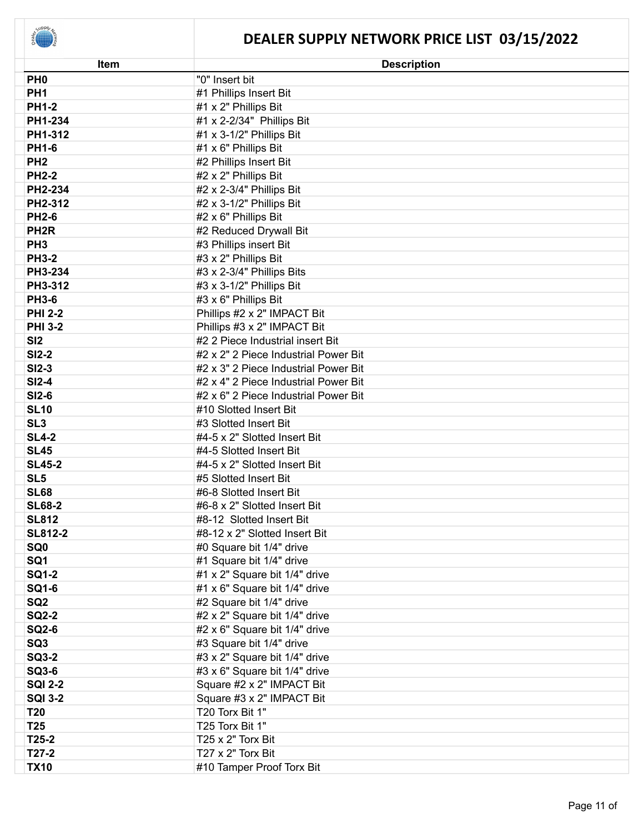| Item             | <b>Description</b>                   |
|------------------|--------------------------------------|
| PH <sub>0</sub>  | "0" Insert bit                       |
| PH <sub>1</sub>  | #1 Phillips Insert Bit               |
| <b>PH1-2</b>     | #1 x 2" Phillips Bit                 |
| PH1-234          | #1 x 2-2/34" Phillips Bit            |
| PH1-312          | #1 x 3-1/2" Phillips Bit             |
| <b>PH1-6</b>     | #1 x 6" Phillips Bit                 |
| PH <sub>2</sub>  | #2 Phillips Insert Bit               |
| <b>PH2-2</b>     | #2 x 2" Phillips Bit                 |
| PH2-234          | #2 x 2-3/4" Phillips Bit             |
| PH2-312          | #2 x 3-1/2" Phillips Bit             |
| <b>PH2-6</b>     | #2 x 6" Phillips Bit                 |
| PH <sub>2R</sub> | #2 Reduced Drywall Bit               |
| PH <sub>3</sub>  | #3 Phillips insert Bit               |
| <b>PH3-2</b>     | #3 x 2" Phillips Bit                 |
| PH3-234          | #3 x 2-3/4" Phillips Bits            |
| PH3-312          | #3 x 3-1/2" Phillips Bit             |
| <b>PH3-6</b>     | #3 x 6" Phillips Bit                 |
| <b>PHI 2-2</b>   | Phillips #2 x 2" IMPACT Bit          |
| <b>PHI 3-2</b>   | Phillips #3 x 2" IMPACT Bit          |
| SI2              | #2 2 Piece Industrial insert Bit     |
| <b>SI2-2</b>     | #2 x 2" 2 Piece Industrial Power Bit |
| <b>SI2-3</b>     | #2 x 3" 2 Piece Industrial Power Bit |
| <b>SI2-4</b>     | #2 x 4" 2 Piece Industrial Power Bit |
| <b>SI2-6</b>     | #2 x 6" 2 Piece Industrial Power Bit |
| <b>SL10</b>      | #10 Slotted Insert Bit               |
| SL <sub>3</sub>  | #3 Slotted Insert Bit                |
| <b>SL4-2</b>     | #4-5 x 2" Slotted Insert Bit         |
| <b>SL45</b>      | #4-5 Slotted Insert Bit              |
| <b>SL45-2</b>    | #4-5 x 2" Slotted Insert Bit         |
| SL <sub>5</sub>  | #5 Slotted Insert Bit                |
| <b>SL68</b>      | #6-8 Slotted Insert Bit              |
| <b>SL68-2</b>    | #6-8 x 2" Slotted Insert Bit         |
| <b>SL812</b>     | #8-12 Slotted Insert Bit             |
| <b>SL812-2</b>   | #8-12 x 2" Slotted Insert Bit        |
| SQ <sub>0</sub>  | #0 Square bit 1/4" drive             |
| SQ1              | #1 Square bit 1/4" drive             |
| <b>SQ1-2</b>     | #1 x 2" Square bit 1/4" drive        |
| <b>SQ1-6</b>     | #1 x 6" Square bit 1/4" drive        |
| SQ <sub>2</sub>  | #2 Square bit 1/4" drive             |
| <b>SQ2-2</b>     | #2 x 2" Square bit 1/4" drive        |
| <b>SQ2-6</b>     | #2 x 6" Square bit 1/4" drive        |
| SQ3              | #3 Square bit 1/4" drive             |
| <b>SQ3-2</b>     | #3 x 2" Square bit 1/4" drive        |
| <b>SQ3-6</b>     | #3 x 6" Square bit 1/4" drive        |
| <b>SQI 2-2</b>   | Square #2 x 2" IMPACT Bit            |
| <b>SQI 3-2</b>   | Square #3 x 2" IMPACT Bit            |
| <b>T20</b>       | T20 Torx Bit 1"                      |
| T <sub>25</sub>  | T25 Torx Bit 1"                      |
| $T25-2$          | T25 x 2" Torx Bit                    |
| $T27-2$          | T27 x 2" Torx Bit                    |
| <b>TX10</b>      | #10 Tamper Proof Torx Bit            |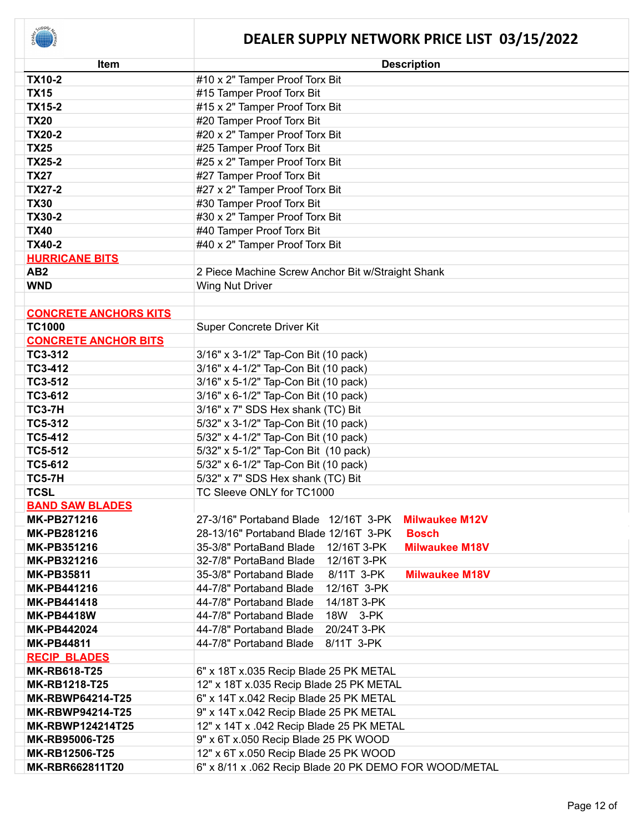

| <b>Item</b>                  | <b>Description</b>                                              |
|------------------------------|-----------------------------------------------------------------|
| <b>TX10-2</b>                | #10 x 2" Tamper Proof Torx Bit                                  |
| <b>TX15</b>                  | #15 Tamper Proof Torx Bit                                       |
| <b>TX15-2</b>                | #15 x 2" Tamper Proof Torx Bit                                  |
| <b>TX20</b>                  | #20 Tamper Proof Torx Bit                                       |
| <b>TX20-2</b>                | #20 x 2" Tamper Proof Torx Bit                                  |
| <b>TX25</b>                  | #25 Tamper Proof Torx Bit                                       |
| <b>TX25-2</b>                | #25 x 2" Tamper Proof Torx Bit                                  |
| <b>TX27</b>                  | #27 Tamper Proof Torx Bit                                       |
| <b>TX27-2</b>                | #27 x 2" Tamper Proof Torx Bit                                  |
| <b>TX30</b>                  | #30 Tamper Proof Torx Bit                                       |
| <b>TX30-2</b>                | #30 x 2" Tamper Proof Torx Bit                                  |
| <b>TX40</b>                  | #40 Tamper Proof Torx Bit                                       |
| <b>TX40-2</b>                | #40 x 2" Tamper Proof Torx Bit                                  |
| <b>HURRICANE BITS</b>        |                                                                 |
| AB <sub>2</sub>              | 2 Piece Machine Screw Anchor Bit w/Straight Shank               |
| <b>WND</b>                   | <b>Wing Nut Driver</b>                                          |
|                              |                                                                 |
| <b>CONCRETE ANCHORS KITS</b> |                                                                 |
| <b>TC1000</b>                | Super Concrete Driver Kit                                       |
| <b>CONCRETE ANCHOR BITS</b>  |                                                                 |
| TC3-312                      | 3/16" x 3-1/2" Tap-Con Bit (10 pack)                            |
| TC3-412                      | 3/16" x 4-1/2" Tap-Con Bit (10 pack)                            |
| TC3-512                      | 3/16" x 5-1/2" Tap-Con Bit (10 pack)                            |
| TC3-612                      | 3/16" x 6-1/2" Tap-Con Bit (10 pack)                            |
| <b>TC3-7H</b>                | 3/16" x 7" SDS Hex shank (TC) Bit                               |
| <b>TC5-312</b>               | 5/32" x 3-1/2" Tap-Con Bit (10 pack)                            |
| <b>TC5-412</b>               | 5/32" x 4-1/2" Tap-Con Bit (10 pack)                            |
| <b>TC5-512</b>               | 5/32" x 5-1/2" Tap-Con Bit (10 pack)                            |
| <b>TC5-612</b>               | 5/32" x 6-1/2" Tap-Con Bit (10 pack)                            |
| <b>TC5-7H</b>                | 5/32" x 7" SDS Hex shank (TC) Bit                               |
| <b>TCSL</b>                  | TC Sleeve ONLY for TC1000                                       |
| <b>BAND SAW BLADES</b>       |                                                                 |
| <b>MK-PB271216</b>           | 27-3/16" Portaband Blade 12/16T 3-PK Milwaukee M12V             |
| <b>MK-PB281216</b>           | <b>Bosch</b><br>28-13/16" Portaband Blade 12/16T 3-PK           |
| MK-PB351216                  | 35-3/8" PortaBand Blade<br>12/16T 3-PK<br><b>Milwaukee M18V</b> |
| <b>MK-PB321216</b>           | 32-7/8" PortaBand Blade<br>12/16T 3-PK                          |
| <b>MK-PB35811</b>            | 35-3/8" Portaband Blade<br>8/11T 3-PK<br><b>Milwaukee M18V</b>  |
| <b>MK-PB441216</b>           | 44-7/8" Portaband Blade<br>12/16T 3-PK                          |
| <b>MK-PB441418</b>           | 44-7/8" Portaband Blade<br>14/18T 3-PK                          |
| <b>MK-PB4418W</b>            | 44-7/8" Portaband Blade<br>18W 3-PK                             |
| <b>MK-PB442024</b>           | 20/24T 3-PK<br>44-7/8" Portaband Blade                          |
| <b>MK-PB44811</b>            | 44-7/8" Portaband Blade<br>8/11T 3-PK                           |
| <b>RECIP BLADES</b>          |                                                                 |
| <b>MK-RB618-T25</b>          | 6" x 18T x.035 Recip Blade 25 PK METAL                          |
| <b>MK-RB1218-T25</b>         | 12" x 18T x.035 Recip Blade 25 PK METAL                         |
| <b>MK-RBWP64214-T25</b>      | 6" x 14T x.042 Recip Blade 25 PK METAL                          |
| <b>MK-RBWP94214-T25</b>      | 9" x 14T x.042 Recip Blade 25 PK METAL                          |
| <b>MK-RBWP124214T25</b>      | 12" x 14T x .042 Recip Blade 25 PK METAL                        |
| MK-RB95006-T25               | 9" x 6T x.050 Recip Blade 25 PK WOOD                            |
| MK-RB12506-T25               | 12" x 6T x.050 Recip Blade 25 PK WOOD                           |
| <b>MK-RBR662811T20</b>       | 6" x 8/11 x .062 Recip Blade 20 PK DEMO FOR WOOD/METAL          |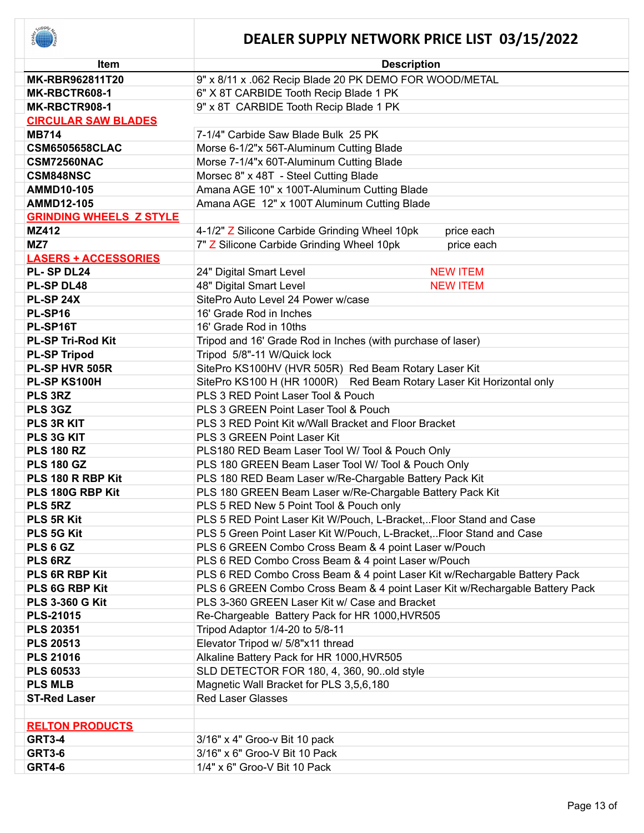| Item                           | <b>Description</b>                                                          |
|--------------------------------|-----------------------------------------------------------------------------|
| MK-RBR962811T20                | 9" x 8/11 x .062 Recip Blade 20 PK DEMO FOR WOOD/METAL                      |
| MK-RBCTR608-1                  | 6" X 8T CARBIDE Tooth Recip Blade 1 PK                                      |
| MK-RBCTR908-1                  | 9" x 8T CARBIDE Tooth Recip Blade 1 PK                                      |
| <b>CIRCULAR SAW BLADES</b>     |                                                                             |
| <b>MB714</b>                   | 7-1/4" Carbide Saw Blade Bulk 25 PK                                         |
| <b>CSM6505658CLAC</b>          | Morse 6-1/2"x 56T-Aluminum Cutting Blade                                    |
| <b>CSM72560NAC</b>             | Morse 7-1/4"x 60T-Aluminum Cutting Blade                                    |
| <b>CSM848NSC</b>               | Morsec 8" x 48T - Steel Cutting Blade                                       |
| <b>AMMD10-105</b>              | Amana AGE 10" x 100T-Aluminum Cutting Blade                                 |
| <b>AMMD12-105</b>              | Amana AGE 12" x 100T Aluminum Cutting Blade                                 |
| <b>GRINDING WHEELS Z STYLE</b> |                                                                             |
| <b>MZ412</b>                   | 4-1/2" Z Silicone Carbide Grinding Wheel 10pk<br>price each                 |
| MZ7                            | 7" Z Silicone Carbide Grinding Wheel 10pk<br>price each                     |
| <b>LASERS + ACCESSORIES</b>    |                                                                             |
| PL-SPDL24                      | 24" Digital Smart Level<br><b>NEW ITEM</b>                                  |
| <b>PL-SP DL48</b>              | 48" Digital Smart Level<br><b>NEW ITEM</b>                                  |
| <b>PL-SP 24X</b>               | SitePro Auto Level 24 Power w/case                                          |
| PL-SP16                        | 16' Grade Rod in Inches                                                     |
| PL-SP16T                       | 16' Grade Rod in 10ths                                                      |
| <b>PL-SP Tri-Rod Kit</b>       | Tripod and 16' Grade Rod in Inches (with purchase of laser)                 |
| <b>PL-SP Tripod</b>            | Tripod 5/8"-11 W/Quick lock                                                 |
| PL-SP HVR 505R                 | SitePro KS100HV (HVR 505R) Red Beam Rotary Laser Kit                        |
| PL-SP KS100H                   | SitePro KS100 H (HR 1000R) Red Beam Rotary Laser Kit Horizontal only        |
| PLS 3RZ                        | PLS 3 RED Point Laser Tool & Pouch                                          |
| PLS 3GZ                        | PLS 3 GREEN Point Laser Tool & Pouch                                        |
| PLS 3R KIT                     | PLS 3 RED Point Kit w/Wall Bracket and Floor Bracket                        |
| PLS 3G KIT                     | PLS 3 GREEN Point Laser Kit                                                 |
| <b>PLS 180 RZ</b>              | PLS180 RED Beam Laser Tool W/ Tool & Pouch Only                             |
| <b>PLS 180 GZ</b>              | PLS 180 GREEN Beam Laser Tool W/ Tool & Pouch Only                          |
| PLS 180 R RBP Kit              | PLS 180 RED Beam Laser w/Re-Chargable Battery Pack Kit                      |
| PLS 180G RBP Kit               | PLS 180 GREEN Beam Laser w/Re-Chargable Battery Pack Kit                    |
| PLS 5RZ                        | PLS 5 RED New 5 Point Tool & Pouch only                                     |
| <b>PLS 5R Kit</b>              | PLS 5 RED Point Laser Kit W/Pouch, L-Bracket,Floor Stand and Case           |
| PLS 5G Kit                     | PLS 5 Green Point Laser Kit W/Pouch, L-Bracket,Floor Stand and Case         |
| PLS 6 GZ                       | PLS 6 GREEN Combo Cross Beam & 4 point Laser w/Pouch                        |
| PLS 6RZ                        | PLS 6 RED Combo Cross Beam & 4 point Laser w/Pouch                          |
| PLS 6R RBP Kit                 | PLS 6 RED Combo Cross Beam & 4 point Laser Kit w/Rechargable Battery Pack   |
| PLS 6G RBP Kit                 | PLS 6 GREEN Combo Cross Beam & 4 point Laser Kit w/Rechargable Battery Pack |
| <b>PLS 3-360 G Kit</b>         | PLS 3-360 GREEN Laser Kit w/ Case and Bracket                               |
| <b>PLS-21015</b>               | Re-Chargeable Battery Pack for HR 1000, HVR505                              |
| <b>PLS 20351</b>               | Tripod Adaptor 1/4-20 to 5/8-11                                             |
| <b>PLS 20513</b>               | Elevator Tripod w/ 5/8"x11 thread                                           |
| <b>PLS 21016</b>               | Alkaline Battery Pack for HR 1000, HVR505                                   |
| <b>PLS 60533</b>               | SLD DETECTOR FOR 180, 4, 360, 90. old style                                 |
| <b>PLS MLB</b>                 | Magnetic Wall Bracket for PLS 3,5,6,180                                     |
| <b>ST-Red Laser</b>            | <b>Red Laser Glasses</b>                                                    |
|                                |                                                                             |
| <b>RELTON PRODUCTS</b>         |                                                                             |
| <b>GRT3-4</b>                  | 3/16" x 4" Groo-v Bit 10 pack                                               |
| <b>GRT3-6</b>                  | 3/16" x 6" Groo-V Bit 10 Pack                                               |
| <b>GRT4-6</b>                  | 1/4" x 6" Groo-V Bit 10 Pack                                                |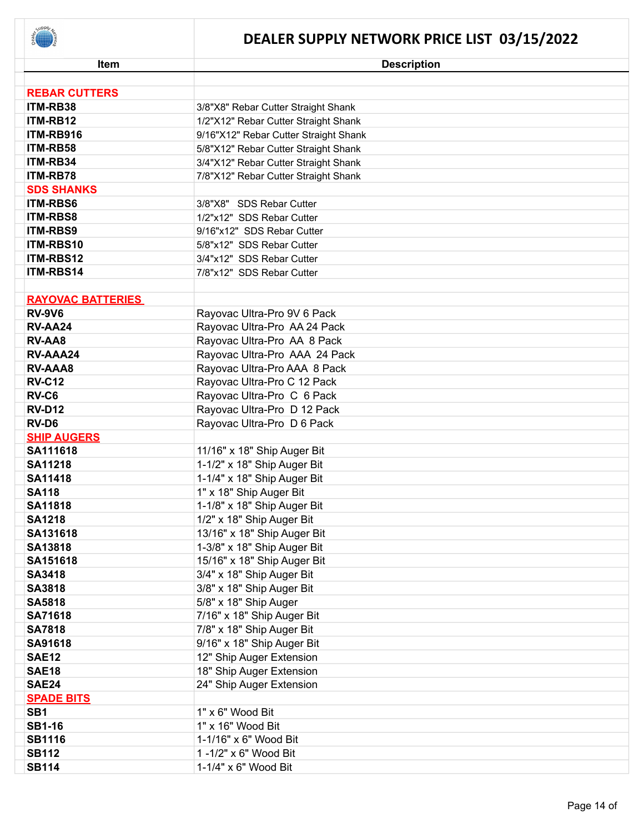

| <b>REBAR CUTTERS</b><br>ITM-RB38<br>3/8"X8" Rebar Cutter Straight Shank<br>ITM-RB12<br>1/2"X12" Rebar Cutter Straight Shank<br>ITM-RB916<br>9/16"X12" Rebar Cutter Straight Shank<br>ITM-RB58<br>5/8"X12" Rebar Cutter Straight Shank<br>ITM-RB34<br>3/4"X12" Rebar Cutter Straight Shank<br>ITM-RB78<br>7/8"X12" Rebar Cutter Straight Shank<br><b>SDS SHANKS</b><br><b>ITM-RBS6</b><br>3/8"X8" SDS Rebar Cutter<br><b>ITM-RBS8</b><br>1/2"x12" SDS Rebar Cutter<br><b>ITM-RBS9</b><br>9/16"x12" SDS Rebar Cutter<br>ITM-RBS10<br>5/8"x12" SDS Rebar Cutter<br>ITM-RBS12<br>3/4"x12" SDS Rebar Cutter<br>ITM-RBS14<br>7/8"x12" SDS Rebar Cutter<br><b>RAYOVAC BATTERIES</b><br><b>RV-9V6</b><br>Rayovac Ultra-Pro 9V 6 Pack<br>Rayovac Ultra-Pro AA 24 Pack<br>RV-AA24<br><b>RV-AA8</b><br>Rayovac Ultra-Pro AA 8 Pack<br>Rayovac Ultra-Pro AAA 24 Pack<br>RV-AAA24<br>Rayovac Ultra-Pro AAA 8 Pack<br><b>RV-AAA8</b><br><b>RV-C12</b><br>Rayovac Ultra-Pro C 12 Pack |
|------------------------------------------------------------------------------------------------------------------------------------------------------------------------------------------------------------------------------------------------------------------------------------------------------------------------------------------------------------------------------------------------------------------------------------------------------------------------------------------------------------------------------------------------------------------------------------------------------------------------------------------------------------------------------------------------------------------------------------------------------------------------------------------------------------------------------------------------------------------------------------------------------------------------------------------------------------------------|
|                                                                                                                                                                                                                                                                                                                                                                                                                                                                                                                                                                                                                                                                                                                                                                                                                                                                                                                                                                        |
|                                                                                                                                                                                                                                                                                                                                                                                                                                                                                                                                                                                                                                                                                                                                                                                                                                                                                                                                                                        |
|                                                                                                                                                                                                                                                                                                                                                                                                                                                                                                                                                                                                                                                                                                                                                                                                                                                                                                                                                                        |
|                                                                                                                                                                                                                                                                                                                                                                                                                                                                                                                                                                                                                                                                                                                                                                                                                                                                                                                                                                        |
|                                                                                                                                                                                                                                                                                                                                                                                                                                                                                                                                                                                                                                                                                                                                                                                                                                                                                                                                                                        |
|                                                                                                                                                                                                                                                                                                                                                                                                                                                                                                                                                                                                                                                                                                                                                                                                                                                                                                                                                                        |
|                                                                                                                                                                                                                                                                                                                                                                                                                                                                                                                                                                                                                                                                                                                                                                                                                                                                                                                                                                        |
|                                                                                                                                                                                                                                                                                                                                                                                                                                                                                                                                                                                                                                                                                                                                                                                                                                                                                                                                                                        |
|                                                                                                                                                                                                                                                                                                                                                                                                                                                                                                                                                                                                                                                                                                                                                                                                                                                                                                                                                                        |
|                                                                                                                                                                                                                                                                                                                                                                                                                                                                                                                                                                                                                                                                                                                                                                                                                                                                                                                                                                        |
|                                                                                                                                                                                                                                                                                                                                                                                                                                                                                                                                                                                                                                                                                                                                                                                                                                                                                                                                                                        |
|                                                                                                                                                                                                                                                                                                                                                                                                                                                                                                                                                                                                                                                                                                                                                                                                                                                                                                                                                                        |
|                                                                                                                                                                                                                                                                                                                                                                                                                                                                                                                                                                                                                                                                                                                                                                                                                                                                                                                                                                        |
|                                                                                                                                                                                                                                                                                                                                                                                                                                                                                                                                                                                                                                                                                                                                                                                                                                                                                                                                                                        |
|                                                                                                                                                                                                                                                                                                                                                                                                                                                                                                                                                                                                                                                                                                                                                                                                                                                                                                                                                                        |
|                                                                                                                                                                                                                                                                                                                                                                                                                                                                                                                                                                                                                                                                                                                                                                                                                                                                                                                                                                        |
|                                                                                                                                                                                                                                                                                                                                                                                                                                                                                                                                                                                                                                                                                                                                                                                                                                                                                                                                                                        |
|                                                                                                                                                                                                                                                                                                                                                                                                                                                                                                                                                                                                                                                                                                                                                                                                                                                                                                                                                                        |
|                                                                                                                                                                                                                                                                                                                                                                                                                                                                                                                                                                                                                                                                                                                                                                                                                                                                                                                                                                        |
|                                                                                                                                                                                                                                                                                                                                                                                                                                                                                                                                                                                                                                                                                                                                                                                                                                                                                                                                                                        |
|                                                                                                                                                                                                                                                                                                                                                                                                                                                                                                                                                                                                                                                                                                                                                                                                                                                                                                                                                                        |
|                                                                                                                                                                                                                                                                                                                                                                                                                                                                                                                                                                                                                                                                                                                                                                                                                                                                                                                                                                        |
|                                                                                                                                                                                                                                                                                                                                                                                                                                                                                                                                                                                                                                                                                                                                                                                                                                                                                                                                                                        |
| RV-C6<br>Rayovac Ultra-Pro C 6 Pack                                                                                                                                                                                                                                                                                                                                                                                                                                                                                                                                                                                                                                                                                                                                                                                                                                                                                                                                    |
| <b>RV-D12</b><br>Rayovac Ultra-Pro D 12 Pack                                                                                                                                                                                                                                                                                                                                                                                                                                                                                                                                                                                                                                                                                                                                                                                                                                                                                                                           |
| RV-D6<br>Rayovac Ultra-Pro D 6 Pack                                                                                                                                                                                                                                                                                                                                                                                                                                                                                                                                                                                                                                                                                                                                                                                                                                                                                                                                    |
| <b>SHIP AUGERS</b>                                                                                                                                                                                                                                                                                                                                                                                                                                                                                                                                                                                                                                                                                                                                                                                                                                                                                                                                                     |
| 11/16" x 18" Ship Auger Bit<br>SA111618                                                                                                                                                                                                                                                                                                                                                                                                                                                                                                                                                                                                                                                                                                                                                                                                                                                                                                                                |
| 1-1/2" x 18" Ship Auger Bit<br><b>SA11218</b>                                                                                                                                                                                                                                                                                                                                                                                                                                                                                                                                                                                                                                                                                                                                                                                                                                                                                                                          |
| 1-1/4" x 18" Ship Auger Bit<br><b>SA11418</b>                                                                                                                                                                                                                                                                                                                                                                                                                                                                                                                                                                                                                                                                                                                                                                                                                                                                                                                          |
| 1" x 18" Ship Auger Bit<br><b>SA118</b>                                                                                                                                                                                                                                                                                                                                                                                                                                                                                                                                                                                                                                                                                                                                                                                                                                                                                                                                |
| 1-1/8" x 18" Ship Auger Bit<br><b>SA11818</b>                                                                                                                                                                                                                                                                                                                                                                                                                                                                                                                                                                                                                                                                                                                                                                                                                                                                                                                          |
| 1/2" x 18" Ship Auger Bit<br><b>SA1218</b>                                                                                                                                                                                                                                                                                                                                                                                                                                                                                                                                                                                                                                                                                                                                                                                                                                                                                                                             |
| SA131618<br>13/16" x 18" Ship Auger Bit                                                                                                                                                                                                                                                                                                                                                                                                                                                                                                                                                                                                                                                                                                                                                                                                                                                                                                                                |
| 1-3/8" x 18" Ship Auger Bit<br>SA13818                                                                                                                                                                                                                                                                                                                                                                                                                                                                                                                                                                                                                                                                                                                                                                                                                                                                                                                                 |
| 15/16" x 18" Ship Auger Bit<br>SA151618                                                                                                                                                                                                                                                                                                                                                                                                                                                                                                                                                                                                                                                                                                                                                                                                                                                                                                                                |
| 3/4" x 18" Ship Auger Bit<br><b>SA3418</b>                                                                                                                                                                                                                                                                                                                                                                                                                                                                                                                                                                                                                                                                                                                                                                                                                                                                                                                             |
| 3/8" x 18" Ship Auger Bit<br><b>SA3818</b>                                                                                                                                                                                                                                                                                                                                                                                                                                                                                                                                                                                                                                                                                                                                                                                                                                                                                                                             |
| 5/8" x 18" Ship Auger<br><b>SA5818</b>                                                                                                                                                                                                                                                                                                                                                                                                                                                                                                                                                                                                                                                                                                                                                                                                                                                                                                                                 |
| 7/16" x 18" Ship Auger Bit<br><b>SA71618</b>                                                                                                                                                                                                                                                                                                                                                                                                                                                                                                                                                                                                                                                                                                                                                                                                                                                                                                                           |
| 7/8" x 18" Ship Auger Bit<br><b>SA7818</b>                                                                                                                                                                                                                                                                                                                                                                                                                                                                                                                                                                                                                                                                                                                                                                                                                                                                                                                             |
| 9/16" x 18" Ship Auger Bit<br>SA91618                                                                                                                                                                                                                                                                                                                                                                                                                                                                                                                                                                                                                                                                                                                                                                                                                                                                                                                                  |
| 12" Ship Auger Extension<br><b>SAE12</b>                                                                                                                                                                                                                                                                                                                                                                                                                                                                                                                                                                                                                                                                                                                                                                                                                                                                                                                               |
| <b>SAE18</b><br>18" Ship Auger Extension                                                                                                                                                                                                                                                                                                                                                                                                                                                                                                                                                                                                                                                                                                                                                                                                                                                                                                                               |
| <b>SAE24</b><br>24" Ship Auger Extension                                                                                                                                                                                                                                                                                                                                                                                                                                                                                                                                                                                                                                                                                                                                                                                                                                                                                                                               |
| <b>SPADE BITS</b>                                                                                                                                                                                                                                                                                                                                                                                                                                                                                                                                                                                                                                                                                                                                                                                                                                                                                                                                                      |
| SB <sub>1</sub><br>1" x 6" Wood Bit                                                                                                                                                                                                                                                                                                                                                                                                                                                                                                                                                                                                                                                                                                                                                                                                                                                                                                                                    |
| <b>SB1-16</b><br>1" x 16" Wood Bit                                                                                                                                                                                                                                                                                                                                                                                                                                                                                                                                                                                                                                                                                                                                                                                                                                                                                                                                     |
| 1-1/16" x 6" Wood Bit<br><b>SB1116</b>                                                                                                                                                                                                                                                                                                                                                                                                                                                                                                                                                                                                                                                                                                                                                                                                                                                                                                                                 |
| <b>SB112</b><br>1-1/2" x 6" Wood Bit                                                                                                                                                                                                                                                                                                                                                                                                                                                                                                                                                                                                                                                                                                                                                                                                                                                                                                                                   |
| <b>SB114</b><br>1-1/4" x 6" Wood Bit                                                                                                                                                                                                                                                                                                                                                                                                                                                                                                                                                                                                                                                                                                                                                                                                                                                                                                                                   |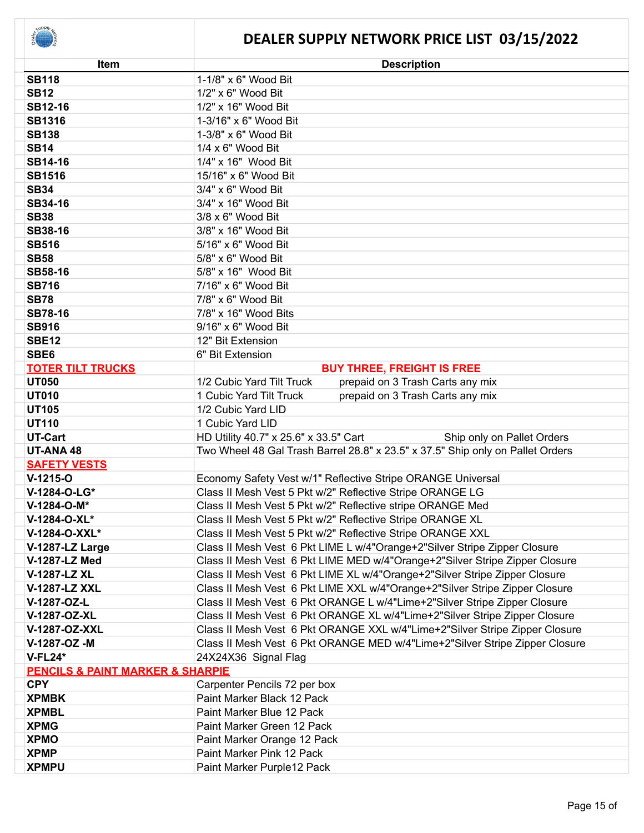| <b>Item</b>                                     | <b>Description</b>                                                             |
|-------------------------------------------------|--------------------------------------------------------------------------------|
| <b>SB118</b>                                    | 1-1/8" x 6" Wood Bit                                                           |
| <b>SB12</b>                                     | 1/2" x 6" Wood Bit                                                             |
| <b>SB12-16</b>                                  | 1/2" x 16" Wood Bit                                                            |
| <b>SB1316</b>                                   | 1-3/16" x 6" Wood Bit                                                          |
| <b>SB138</b>                                    | 1-3/8" x 6" Wood Bit                                                           |
| <b>SB14</b>                                     | 1/4 x 6" Wood Bit                                                              |
| <b>SB14-16</b>                                  | 1/4" x 16" Wood Bit                                                            |
| <b>SB1516</b>                                   | 15/16" x 6" Wood Bit                                                           |
| <b>SB34</b>                                     | 3/4" x 6" Wood Bit                                                             |
| SB34-16                                         | 3/4" x 16" Wood Bit                                                            |
| <b>SB38</b>                                     | 3/8 x 6" Wood Bit                                                              |
| <b>SB38-16</b>                                  | 3/8" x 16" Wood Bit                                                            |
| <b>SB516</b>                                    | 5/16" x 6" Wood Bit                                                            |
| <b>SB58</b>                                     | 5/8" x 6" Wood Bit                                                             |
| <b>SB58-16</b>                                  | 5/8" x 16" Wood Bit                                                            |
| <b>SB716</b>                                    | 7/16" x 6" Wood Bit                                                            |
| <b>SB78</b>                                     | 7/8" x 6" Wood Bit                                                             |
| <b>SB78-16</b>                                  | 7/8" x 16" Wood Bits                                                           |
| <b>SB916</b>                                    | 9/16" x 6" Wood Bit                                                            |
| <b>SBE12</b>                                    | 12" Bit Extension                                                              |
| SBE6                                            | 6" Bit Extension                                                               |
| <b>TOTER TILT TRUCKS</b>                        | <b>BUY THREE, FREIGHT IS FREE</b>                                              |
| <b>UT050</b>                                    | 1/2 Cubic Yard Tilt Truck<br>prepaid on 3 Trash Carts any mix                  |
| <b>UT010</b>                                    | prepaid on 3 Trash Carts any mix<br>1 Cubic Yard Tilt Truck                    |
| <b>UT105</b>                                    | 1/2 Cubic Yard LID                                                             |
| <b>UT110</b>                                    | 1 Cubic Yard LID                                                               |
| <b>UT-Cart</b>                                  | HD Utility 40.7" x 25.6" x 33.5" Cart<br>Ship only on Pallet Orders            |
| UT-ANA 48                                       | Two Wheel 48 Gal Trash Barrel 28.8" x 23.5" x 37.5" Ship only on Pallet Orders |
| <b>SAFETY VESTS</b>                             |                                                                                |
| $V-1215-O$                                      | Economy Safety Vest w/1" Reflective Stripe ORANGE Universal                    |
| V-1284-O-LG*                                    | Class II Mesh Vest 5 Pkt w/2" Reflective Stripe ORANGE LG                      |
| V-1284-O-M*                                     | Class II Mesh Vest 5 Pkt w/2" Reflective stripe ORANGE Med                     |
| V-1284-O-XL*                                    | Class II Mesh Vest 5 Pkt w/2" Reflective Stripe ORANGE XL                      |
| V-1284-O-XXL*                                   | Class II Mesh Vest 5 Pkt w/2" Reflective Stripe ORANGE XXL                     |
| V-1287-LZ Large                                 | Class II Mesh Vest 6 Pkt LIME L w/4"Orange+2"Silver Stripe Zipper Closure      |
| V-1287-LZ Med                                   | Class II Mesh Vest 6 Pkt LIME MED w/4"Orange+2"Silver Stripe Zipper Closure    |
| <b>V-1287-LZ XL</b>                             | Class II Mesh Vest 6 Pkt LIME XL w/4"Orange+2"Silver Stripe Zipper Closure     |
| <b>V-1287-LZ XXL</b>                            | Class II Mesh Vest 6 Pkt LIME XXL w/4"Orange+2"Silver Stripe Zipper Closure    |
| V-1287-OZ-L                                     | Class II Mesh Vest 6 Pkt ORANGE L w/4"Lime+2"Silver Stripe Zipper Closure      |
| V-1287-OZ-XL                                    | Class II Mesh Vest 6 Pkt ORANGE XL w/4"Lime+2"Silver Stripe Zipper Closure     |
| V-1287-OZ-XXL                                   | Class II Mesh Vest 6 Pkt ORANGE XXL w/4"Lime+2"Silver Stripe Zipper Closure    |
| V-1287-OZ-M                                     | Class II Mesh Vest 6 Pkt ORANGE MED w/4"Lime+2"Silver Stripe Zipper Closure    |
| <b>V-FL24*</b>                                  | 24X24X36 Signal Flag                                                           |
| <b>PENCILS &amp; PAINT MARKER &amp; SHARPIE</b> |                                                                                |
| <b>CPY</b>                                      | Carpenter Pencils 72 per box                                                   |
| <b>XPMBK</b>                                    | Paint Marker Black 12 Pack                                                     |
| <b>XPMBL</b>                                    | Paint Marker Blue 12 Pack                                                      |
| <b>XPMG</b>                                     | Paint Marker Green 12 Pack                                                     |
| <b>XPMO</b>                                     | Paint Marker Orange 12 Pack                                                    |
| <b>XPMP</b>                                     | Paint Marker Pink 12 Pack                                                      |
| <b>XPMPU</b>                                    | Paint Marker Purple12 Pack                                                     |